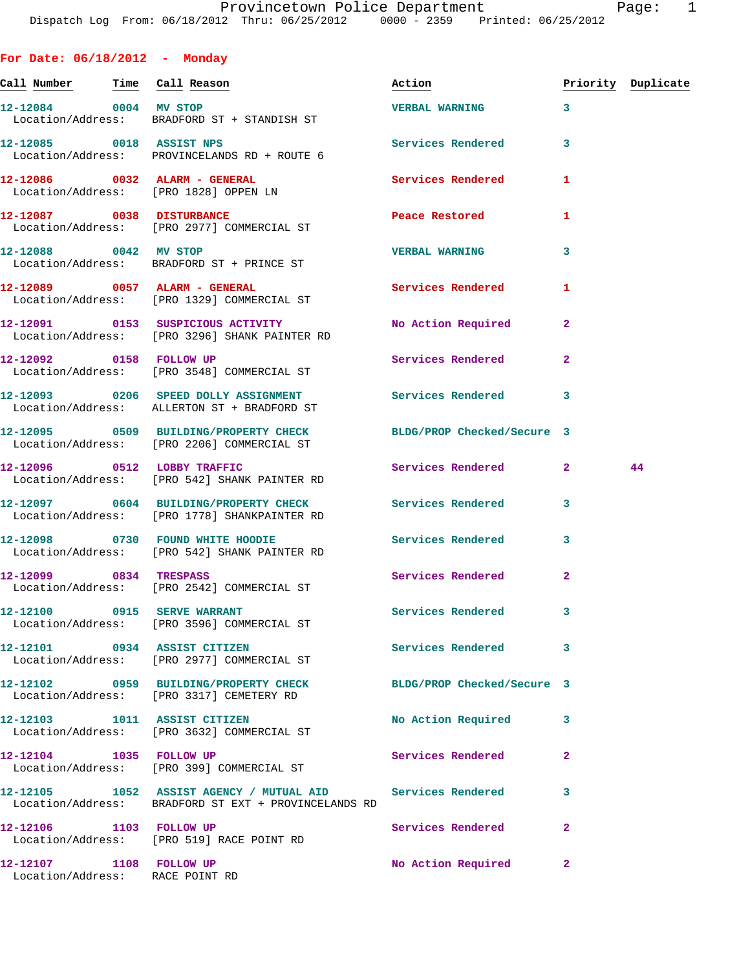| For Date: $06/18/2012$ - Monday |                                                                                                                    |                             |              |                    |
|---------------------------------|--------------------------------------------------------------------------------------------------------------------|-----------------------------|--------------|--------------------|
| Call Number Time Call Reason    |                                                                                                                    | Action                      |              | Priority Duplicate |
| 12-12084 0004 MV STOP           | Location/Address: BRADFORD ST + STANDISH ST                                                                        | VERBAL WARNING 3            |              |                    |
| 12-12085 0018 ASSIST NPS        | Location/Address: PROVINCELANDS RD + ROUTE 6                                                                       | Services Rendered 3         |              |                    |
| 12-12086 0032 ALARM - GENERAL   | Location/Address: [PRO 1828] OPPEN LN                                                                              | <b>Services Rendered</b>    | 1            |                    |
|                                 | 12-12087 0038 DISTURBANCE<br>Location/Address: [PRO 2977] COMMERCIAL ST                                            | Peace Restored <b>Seaps</b> | $\mathbf{1}$ |                    |
| 12-12088 0042 MV STOP           | Location/Address: BRADFORD ST + PRINCE ST                                                                          | <b>VERBAL WARNING</b>       | 3            |                    |
|                                 | 12-12089 0057 ALARM - GENERAL<br>Location/Address: [PRO 1329] COMMERCIAL ST                                        | <b>Services Rendered</b>    | 1            |                    |
|                                 | 12-12091 0153 SUSPICIOUS ACTIVITY<br>Location/Address: [PRO 3296] SHANK PAINTER RD                                 | No Action Required          | $\mathbf{2}$ |                    |
|                                 | 12-12092 0158 FOLLOW UP<br>Location/Address: [PRO 3548] COMMERCIAL ST                                              | <b>Services Rendered</b>    | $\mathbf{2}$ |                    |
|                                 | 12-12093 0206 SPEED DOLLY ASSIGNMENT Services Rendered 3<br>Location/Address: ALLERTON ST + BRADFORD ST            |                             |              |                    |
|                                 | 12-12095 0509 BUILDING/PROPERTY CHECK BLDG/PROP Checked/Secure 3<br>Location/Address: [PRO 2206] COMMERCIAL ST     |                             |              |                    |
|                                 | 12-12096 0512 LOBBY TRAFFIC<br>Location/Address: [PRO 542] SHANK PAINTER RD                                        | Services Rendered 2         |              | 44                 |
|                                 | 12-12097 0604 BUILDING/PROPERTY CHECK Services Rendered<br>Location/Address: [PRO 1778] SHANKPAINTER RD            |                             | 3            |                    |
|                                 | 12-12098 0730 FOUND WHITE HOODIE<br>Location/Address: [PRO 542] SHANK PAINTER RD                                   | <b>Services Rendered</b>    | 3            |                    |
|                                 | 12-12099 0834 TRESPASS<br>Location/Address: [PRO 2542] COMMERCIAL ST                                               | <b>Services Rendered</b>    | $\mathbf{2}$ |                    |
|                                 | 12-12100 0915 SERVE WARRANT<br>Location/Address: [PRO 3596] COMMERCIAL ST                                          | <b>Services Rendered</b>    | 3            |                    |
|                                 | 12-12101 0934 ASSIST CITIZEN<br>Location/Address: [PRO 2977] COMMERCIAL ST                                         | <b>Services Rendered</b>    | 3            |                    |
|                                 | 12-12102 0959 BUILDING/PROPERTY CHECK BLDG/PROP Checked/Secure 3<br>Location/Address: [PRO 3317] CEMETERY RD       |                             |              |                    |
|                                 | 12-12103 1011 ASSIST CITIZEN<br>Location/Address: [PRO 3632] COMMERCIAL ST                                         | No Action Required          | 3            |                    |
| 12-12104 1035 FOLLOW UP         | Location/Address: [PRO 399] COMMERCIAL ST                                                                          | Services Rendered           | $\mathbf{2}$ |                    |
|                                 | 12-12105 1052 ASSIST AGENCY / MUTUAL AID Services Rendered<br>Location/Address: BRADFORD ST EXT + PROVINCELANDS RD |                             | 3            |                    |
| 12-12106 1103 FOLLOW UP         | Location/Address: [PRO 519] RACE POINT RD                                                                          | Services Rendered           | 2            |                    |

**12-12107 1108 FOLLOW UP No Action Required 2**  Location/Address: RACE POINT RD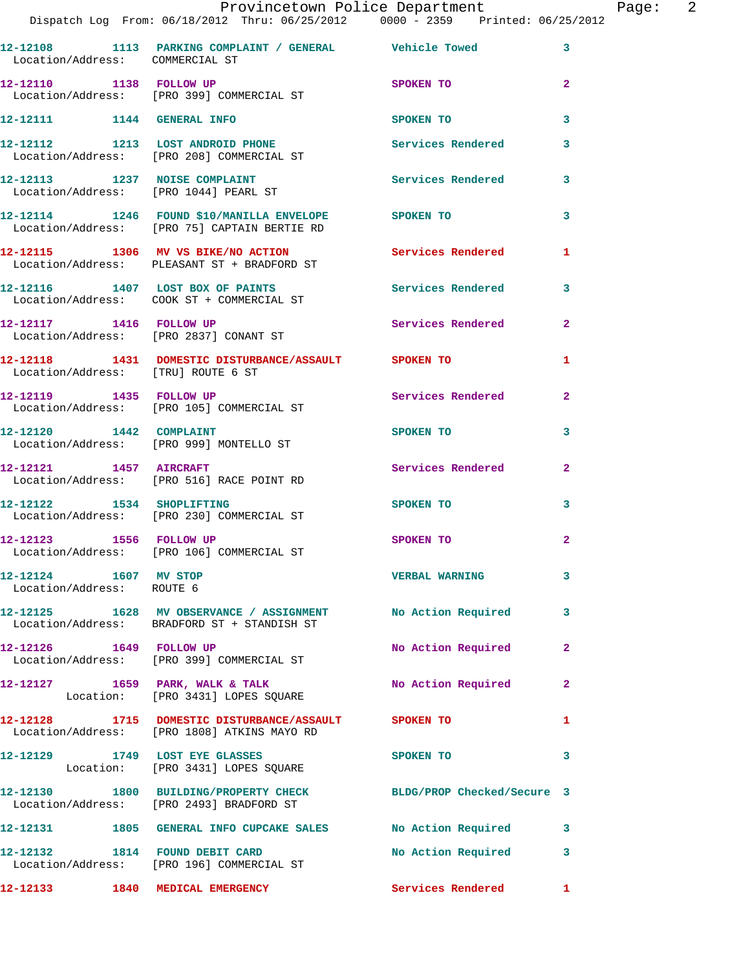|                                                    | Dispatch Log From: 06/18/2012 Thru: 06/25/2012 0000 - 2359 Printed: 06/25/2012                               | Provincetown Police Department    |              | Page: 2 |  |
|----------------------------------------------------|--------------------------------------------------------------------------------------------------------------|-----------------------------------|--------------|---------|--|
|                                                    | 12-12108 1113 PARKING COMPLAINT / GENERAL Vehicle Towed 3<br>Location/Address: COMMERCIAL ST                 |                                   |              |         |  |
| 12-12110 1138 FOLLOW UP                            | Location/Address: [PRO 399] COMMERCIAL ST                                                                    | SPOKEN TO                         | $\mathbf{2}$ |         |  |
|                                                    | 12-12111 1144 GENERAL INFO                                                                                   | SPOKEN TO AND TO A REAL PROPERTY. | 3            |         |  |
|                                                    | 12-12112 1213 LOST ANDROID PHONE 30 Services Rendered                                                        |                                   | $\mathbf{3}$ |         |  |
|                                                    | Location/Address: [PRO 208] COMMERCIAL ST                                                                    |                                   |              |         |  |
|                                                    | 12-12113 1237 NOISE COMPLAINT 1200 Services Rendered 3<br>Location/Address: [PRO 1044] PEARL ST              |                                   |              |         |  |
|                                                    | 12-12114 1246 FOUND \$10/MANILLA ENVELOPE SPOKEN TO<br>Location/Address: [PRO 75] CAPTAIN BERTIE RD          |                                   | 3            |         |  |
|                                                    | 12-12115 1306 MV VS BIKE/NO ACTION Services Rendered 1<br>Location/Address: PLEASANT ST + BRADFORD ST        |                                   |              |         |  |
|                                                    | 12-12116 1407 LOST BOX OF PAINTS<br>Location/Address: COOK ST + COMMERCIAL ST                                | Services Rendered                 | 3            |         |  |
|                                                    | 12-12117 1416 FOLLOW UP<br>Location/Address: [PRO 2837] CONANT ST                                            | Services Rendered 2               |              |         |  |
| Location/Address: [TRU] ROUTE 6 ST                 | 12-12118 1431 DOMESTIC DISTURBANCE/ASSAULT SPOKEN TO                                                         |                                   | 1            |         |  |
|                                                    | 12-12119 1435 FOLLOW UP<br>Location/Address: [PRO 105] COMMERCIAL ST                                         | Services Rendered 2               |              |         |  |
|                                                    | 12-12120 1442 COMPLAINT<br>Location/Address: [PRO 999] MONTELLO ST                                           | SPOKEN TO                         | 3            |         |  |
| 12-12121 1457 AIRCRAFT                             | Location/Address: [PRO 516] RACE POINT RD                                                                    | Services Rendered 2               |              |         |  |
|                                                    | 12-12122 1534 SHOPLIFTING<br>Location/Address: [PRO 230] COMMERCIAL ST                                       | SPOKEN TO                         | 3            |         |  |
| 12-12123 1556 FOLLOW UP                            | Location/Address: [PRO 106] COMMERCIAL ST                                                                    | SPOKEN TO                         | $\mathbf{2}$ |         |  |
| 12-12124 1607 MV STOP<br>Location/Address: ROUTE 6 |                                                                                                              | <b>VERBAL WARNING</b>             | 3            |         |  |
|                                                    | 12-12125 1628 MV OBSERVANCE / ASSIGNMENT No Action Required 3<br>Location/Address: BRADFORD ST + STANDISH ST |                                   |              |         |  |
|                                                    | 12-12126   1649   FOLLOW UP<br>Location/Address: [PRO 399] COMMERCIAL ST                                     | No Action Required                | $\mathbf{2}$ |         |  |
|                                                    | 12-12127 1659 PARK, WALK & TALK<br>Location: [PRO 3431] LOPES SQUARE                                         | No Action Required 2              |              |         |  |
|                                                    | 12-12128 1715 DOMESTIC DISTURBANCE/ASSAULT SPOKEN TO<br>Location/Address: [PRO 1808] ATKINS MAYO RD          |                                   | 1            |         |  |
|                                                    | 12-12129 1749 LOST EYE GLASSES<br>Location: [PRO 3431] LOPES SQUARE                                          | <b>SPOKEN TO</b>                  | $\sim$ 3     |         |  |
|                                                    | 12-12130 1800 BUILDING/PROPERTY CHECK BLDG/PROP Checked/Secure 3<br>Location/Address: [PRO 2493] BRADFORD ST |                                   |              |         |  |
|                                                    | 12-12131 1805 GENERAL INFO CUPCAKE SALES No Action Required 3                                                |                                   |              |         |  |
|                                                    | 12-12132 1814 FOUND DEBIT CARD<br>Location/Address: [PRO 196] COMMERCIAL ST                                  | No Action Required 3              |              |         |  |
|                                                    | 12-12133 1840 MEDICAL EMERGENCY                                                                              | Services Rendered 1               |              |         |  |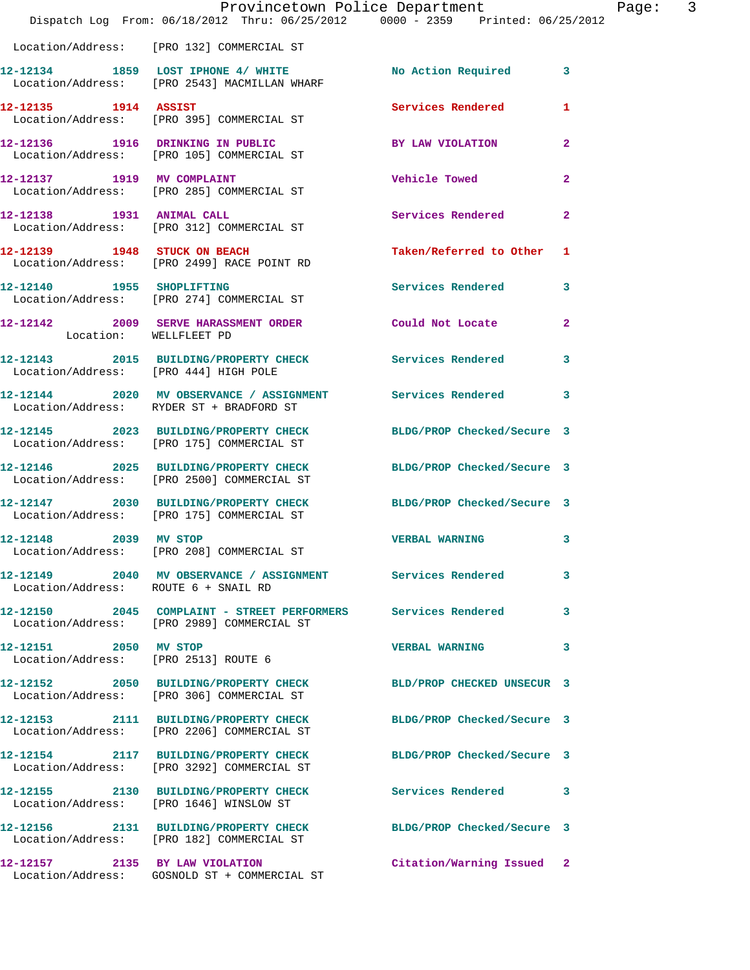|                                       | Dispatch Log From: 06/18/2012 Thru: 06/25/2012 0000 - 2359 Printed: 06/25/2012                                 | Provincetown Police Department | Page: 3        |
|---------------------------------------|----------------------------------------------------------------------------------------------------------------|--------------------------------|----------------|
|                                       | Location/Address: [PRO 132] COMMERCIAL ST                                                                      |                                |                |
|                                       | 12-12134 1859 LOST IPHONE 4/ WHITE No Action Required 3<br>Location/Address: [PRO 2543] MACMILLAN WHARF        |                                |                |
|                                       | 12-12135    1914    ASSIST<br>Location/Address: [PRO 395] COMMERCIAL ST                                        | Services Rendered              | 1              |
|                                       | 12-12136 1916 DRINKING IN PUBLIC BY LAW VIOLATION<br>Location/Address: [PRO 105] COMMERCIAL ST                 |                                | $\mathbf{2}$   |
|                                       | 12-12137 1919 MV COMPLAINT<br>Location/Address: [PRO 285] COMMERCIAL ST                                        | Vehicle Towed                  | $\mathbf{2}$   |
| 12-12138 1931 ANIMAL CALL             | Location/Address: [PRO 312] COMMERCIAL ST                                                                      | Services Rendered              | $\overline{2}$ |
|                                       | 12-12139 1948 STUCK ON BEACH<br>Location/Address: [PRO 2499] RACE POINT RD                                     | Taken/Referred to Other 1      |                |
|                                       | 12-12140 1955 SHOPLIFTING<br>Location/Address: [PRO 274] COMMERCIAL ST                                         | Services Rendered              | 3              |
| Location: WELLFLEET PD                | 12-12142 2009 SERVE HARASSMENT ORDER Could Not Locate                                                          |                                | $\overline{2}$ |
| Location/Address: [PRO 444] HIGH POLE | 12-12143 2015 BUILDING/PROPERTY CHECK Services Rendered                                                        |                                | 3              |
|                                       | 12-12144 2020 MV OBSERVANCE / ASSIGNMENT Services Rendered 3<br>Location/Address: RYDER ST + BRADFORD ST       |                                |                |
|                                       | 12-12145 2023 BUILDING/PROPERTY CHECK<br>Location/Address: [PRO 175] COMMERCIAL ST                             | BLDG/PROP Checked/Secure 3     |                |
|                                       | 12-12146 2025 BUILDING/PROPERTY CHECK BLDG/PROP Checked/Secure 3<br>Location/Address: [PRO 2500] COMMERCIAL ST |                                |                |
|                                       | 12-12147 2030 BUILDING/PROPERTY CHECK BLDG/PROP Checked/Secure 3<br>Location/Address: [PRO 175] COMMERCIAL ST  |                                |                |
| 12-12148 2039 MV STOP                 | Location/Address: [PRO 208] COMMERCIAL ST                                                                      | <b>VERBAL WARNING</b>          | 3              |
| Location/Address: ROUTE 6 + SNAIL RD  | 12-12149 2040 MV OBSERVANCE / ASSIGNMENT Services Rendered                                                     |                                | 3              |
|                                       | 12-12150  2045  COMPLAINT - STREET PERFORMERS  Services Rendered<br>Location/Address: [PRO 2989] COMMERCIAL ST |                                | 3              |
| 12-12151 2050 MV STOP                 | Location/Address: [PRO 2513] ROUTE 6                                                                           | <b>VERBAL WARNING</b>          | 3              |
|                                       | 12-12152 2050 BUILDING/PROPERTY CHECK<br>Location/Address: [PRO 306] COMMERCIAL ST                             | BLD/PROP CHECKED UNSECUR 3     |                |
|                                       | 12-12153 2111 BUILDING/PROPERTY CHECK BLDG/PROP Checked/Secure 3<br>Location/Address: [PRO 2206] COMMERCIAL ST |                                |                |
|                                       | 12-12154 2117 BUILDING/PROPERTY CHECK BLDG/PROP Checked/Secure 3<br>Location/Address: [PRO 3292] COMMERCIAL ST |                                |                |
|                                       | 12-12155 2130 BUILDING/PROPERTY CHECK Services Rendered<br>Location/Address: [PRO 1646] WINSLOW ST             |                                | 3              |
|                                       | 12-12156 2131 BUILDING/PROPERTY CHECK BLDG/PROP Checked/Secure 3<br>Location/Address: [PRO 182] COMMERCIAL ST  |                                |                |
|                                       | 12-12157 2135 BY LAW VIOLATION<br>Location/Address: GOSNOLD ST + COMMERCIAL ST                                 | Citation/Warning Issued 2      |                |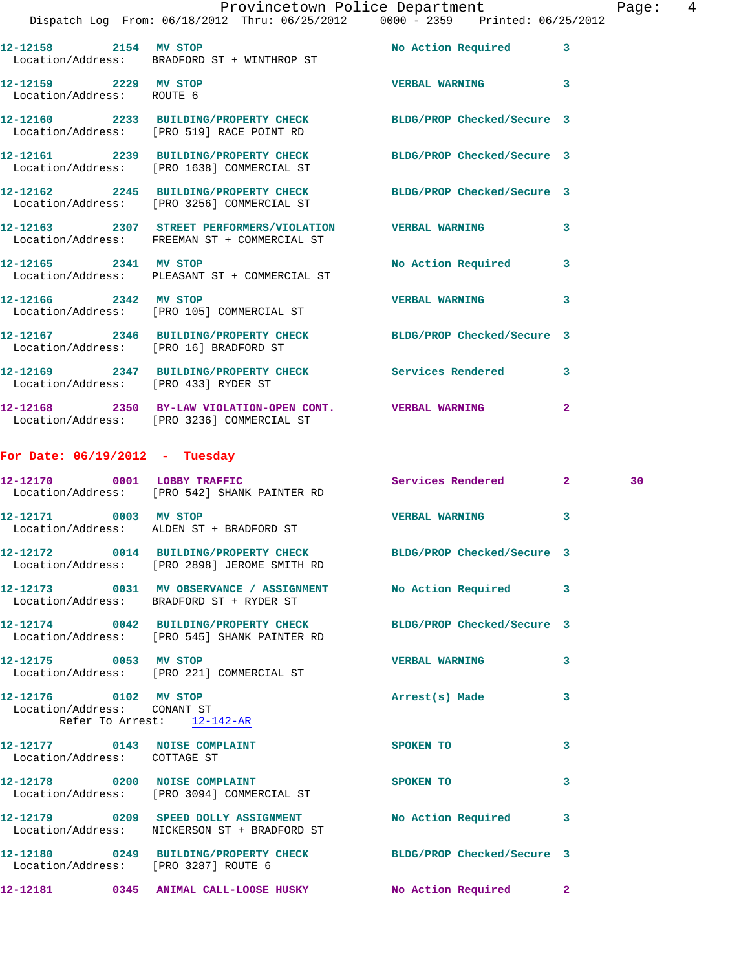|                                                    |                                                                                                                | Provincetown Police Department Page: 4 |              |    |  |
|----------------------------------------------------|----------------------------------------------------------------------------------------------------------------|----------------------------------------|--------------|----|--|
|                                                    | Dispatch Log From: 06/18/2012 Thru: 06/25/2012 0000 - 2359 Printed: 06/25/2012                                 |                                        |              |    |  |
|                                                    | 12-12158 2154 MV STOP<br>Location/Address: BRADFORD ST + WINTHROP ST                                           | No Action Required 3                   |              |    |  |
| 12-12159 2229 MV STOP<br>Location/Address: ROUTE 6 |                                                                                                                | VERBAL WARNING 3                       |              |    |  |
|                                                    | 12-12160 2233 BUILDING/PROPERTY CHECK BLDG/PROP Checked/Secure 3<br>Location/Address: [PRO 519] RACE POINT RD  |                                        |              |    |  |
|                                                    | 12-12161 2239 BUILDING/PROPERTY CHECK BLDG/PROP Checked/Secure 3<br>Location/Address: [PRO 1638] COMMERCIAL ST |                                        |              |    |  |
|                                                    | 12-12162 2245 BUILDING/PROPERTY CHECK BLDG/PROP Checked/Secure 3<br>Location/Address: [PRO 3256] COMMERCIAL ST |                                        |              |    |  |
|                                                    | 12-12163 2307 STREET PERFORMERS/VIOLATION VERBAL WARNING<br>Location/Address: FREEMAN ST + COMMERCIAL ST       |                                        | $\mathbf{3}$ |    |  |
| 12-12165 2341 MV STOP                              | Location/Address: PLEASANT ST + COMMERCIAL ST                                                                  | No Action Required 3                   |              |    |  |
| 12-12166 2342 MV STOP                              | Location/Address: [PRO 105] COMMERCIAL ST                                                                      | <b>VERBAL WARNING</b>                  | 3            |    |  |
| Location/Address: [PRO 16] BRADFORD ST             | 12-12167 2346 BUILDING/PROPERTY CHECK BLDG/PROP Checked/Secure 3                                               |                                        |              |    |  |
| Location/Address: [PRO 433] RYDER ST               | 12-12169 2347 BUILDING/PROPERTY CHECK Services Rendered 3                                                      |                                        |              |    |  |
|                                                    | 12-12168  2350 BY-LAW VIOLATION-OPEN CONT. VERBAL WARNING<br>Location/Address: [PRO 3236] COMMERCIAL ST        |                                        | $\mathbf{2}$ |    |  |
| For Date: $06/19/2012$ - Tuesday                   |                                                                                                                |                                        |              |    |  |
|                                                    | 12-12170 0001 LOBBY TRAFFIC<br>Location/Address: [PRO 542] SHANK PAINTER RD                                    | Services Rendered 2                    |              | 30 |  |
|                                                    | 12-12171 0003 MV STOP<br>Location/Address: ALDEN ST + BRADFORD ST                                              | <b>VERBAL WARNING</b>                  | 3            |    |  |
|                                                    | Location/Address: [PRO 2898] JEROME SMITH RD                                                                   | BLDG/PROP Checked/Secure 3             |              |    |  |
|                                                    | 12-12173 0031 MV OBSERVANCE / ASSIGNMENT<br>Location/Address: BRADFORD ST + RYDER ST                           | No Action Required                     | 3            |    |  |
|                                                    | 12-12174 0042 BUILDING/PROPERTY CHECK<br>Location/Address: [PRO 545] SHANK PAINTER RD                          | BLDG/PROP Checked/Secure 3             |              |    |  |
| 12-12175 0053 MV STOP                              | Location/Address: [PRO 221] COMMERCIAL ST                                                                      | <b>VERBAL WARNING</b>                  | 3            |    |  |
|                                                    |                                                                                                                |                                        |              |    |  |

**12-12176 0102 MV STOP Arrest(s) Made 3**  Location/Address: CONANT ST Refer To Arrest:  $\frac{12-142-AR}{2}$ 

**12-12177 0143 NOISE COMPLAINT SPOKEN TO 3**  Location/Address: COTTAGE ST **12-12178 0200 NOISE COMPLAINT SPOKEN TO 3**  Location/Address: [PRO 3094] COMMERCIAL ST **12-12179 0209 SPEED DOLLY ASSIGNMENT No Action Required 3**  Location/Address: NICKERSON ST + BRADFORD ST **12-12180 0249 BUILDING/PROPERTY CHECK BLDG/PROP Checked/Secure 3**  Location/Address: [PRO 3287] ROUTE 6 **12-12181 0345 ANIMAL CALL-LOOSE HUSKY No Action Required 2**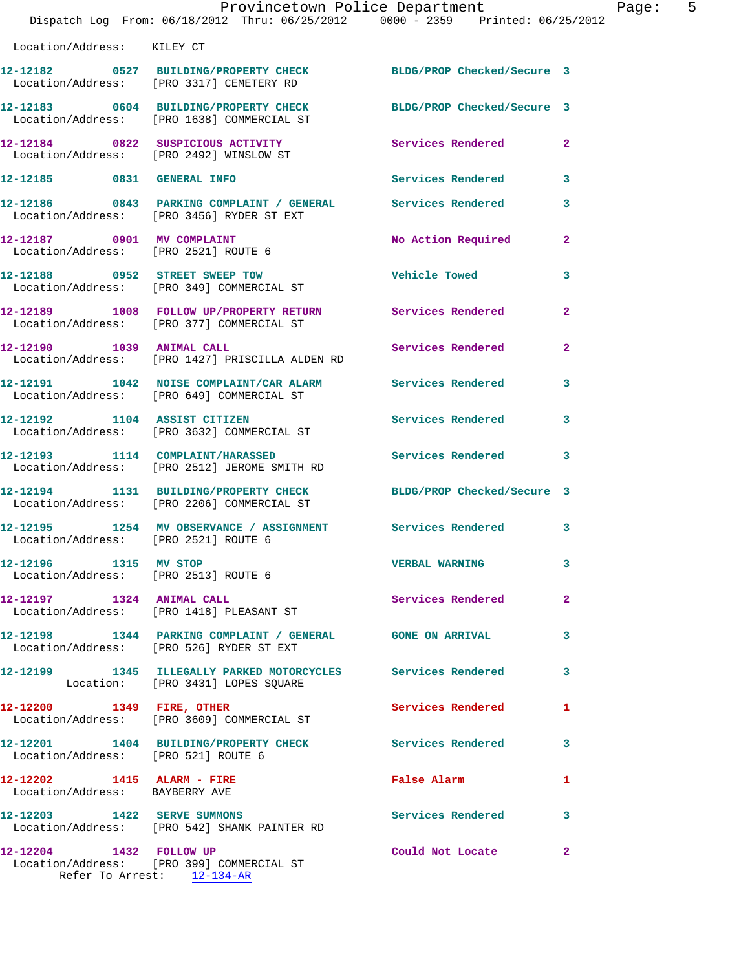|                                                                  | Dispatch Log From: 06/18/2012 Thru: 06/25/2012 0000 - 2359 Printed: 06/25/2012                                 | Provincetown Police Department Page: 5 |                |
|------------------------------------------------------------------|----------------------------------------------------------------------------------------------------------------|----------------------------------------|----------------|
| Location/Address: KILEY CT                                       |                                                                                                                |                                        |                |
|                                                                  | 12-12182 0527 BUILDING/PROPERTY CHECK BLDG/PROP Checked/Secure 3<br>Location/Address: [PRO 3317] CEMETERY RD   |                                        |                |
|                                                                  | 12-12183 0604 BUILDING/PROPERTY CHECK BLDG/PROP Checked/Secure 3<br>Location/Address: [PRO 1638] COMMERCIAL ST |                                        |                |
|                                                                  | 12-12184 0822 SUSPICIOUS ACTIVITY<br>Location/Address: [PRO 2492] WINSLOW ST                                   | Services Rendered 2                    |                |
| 12-12185 0831 GENERAL INFO                                       |                                                                                                                | Services Rendered                      | 3              |
|                                                                  | 12-12186 0843 PARKING COMPLAINT / GENERAL Services Rendered<br>Location/Address: [PRO 3456] RYDER ST EXT       |                                        | 3              |
|                                                                  | 12-12187 0901 MV COMPLAINT<br>Location/Address: [PRO 2521] ROUTE 6                                             | No Action Required                     | $\overline{2}$ |
|                                                                  | 12-12188 0952 STREET SWEEP TOW<br>Location/Address: [PRO 349] COMMERCIAL ST                                    | Vehicle Towed                          | 3              |
|                                                                  | 12-12189 1008 FOLLOW UP/PROPERTY RETURN Services Rendered<br>Location/Address: [PRO 377] COMMERCIAL ST         |                                        | $\overline{2}$ |
| 12-12190 1039 ANIMAL CALL                                        | Location/Address: [PRO 1427] PRISCILLA ALDEN RD                                                                | Services Rendered                      | $\overline{2}$ |
|                                                                  | 12-12191 1042 NOISE COMPLAINT/CAR ALARM Services Rendered<br>Location/Address: [PRO 649] COMMERCIAL ST         |                                        | 3              |
|                                                                  | 12-12192 1104 ASSIST CITIZEN 5ervices Rendered<br>Location/Address: [PRO 3632] COMMERCIAL ST                   |                                        | 3              |
|                                                                  |                                                                                                                | Services Rendered                      | 3              |
|                                                                  | 12-12194 1131 BUILDING/PROPERTY CHECK BLDG/PROP Checked/Secure 3<br>Location/Address: [PRO 2206] COMMERCIAL ST |                                        |                |
| Location/Address: [PRO 2521] ROUTE 6                             | 12-12195 1254 MV OBSERVANCE / ASSIGNMENT Services Rendered                                                     |                                        | 3              |
| 12-12196   1315 MV STOP                                          | Location/Address: [PRO 2513] ROUTE 6                                                                           | <b>VERBAL WARNING</b>                  | 3              |
|                                                                  | 12-12197 1324 ANIMAL CALL<br>Location/Address: [PRO 1418] PLEASANT ST                                          | <b>Services Rendered</b>               | $\overline{2}$ |
|                                                                  | 12-12198 1344 PARKING COMPLAINT / GENERAL GONE ON ARRIVAL<br>Location/Address: [PRO 526] RYDER ST EXT          |                                        | 3              |
|                                                                  | 12-12199 1345 ILLEGALLY PARKED MOTORCYCLES Services Rendered<br>Location: [PRO 3431] LOPES SQUARE              |                                        | 3              |
| 12-12200 1349 FIRE, OTHER                                        | Location/Address: [PRO 3609] COMMERCIAL ST                                                                     | Services Rendered                      | $\mathbf{1}$   |
| Location/Address: [PRO 521] ROUTE 6                              | 12-12201 1404 BUILDING/PROPERTY CHECK Services Rendered                                                        |                                        | 3              |
| $12 - 12202$ 1415 ALARM - FIRE<br>Location/Address: BAYBERRY AVE |                                                                                                                | False Alarm                            | 1              |
|                                                                  | 12-12203 1422 SERVE SUMMONS<br>Location/Address: [PRO 542] SHANK PAINTER RD                                    | <b>Services Rendered</b>               | 3              |
| 12-12204 1432 FOLLOW UP                                          | Location/Address: [PRO 399] COMMERCIAL ST<br>Refer To Arrest: 12-134-AR                                        | Could Not Locate                       | $\mathbf{2}$   |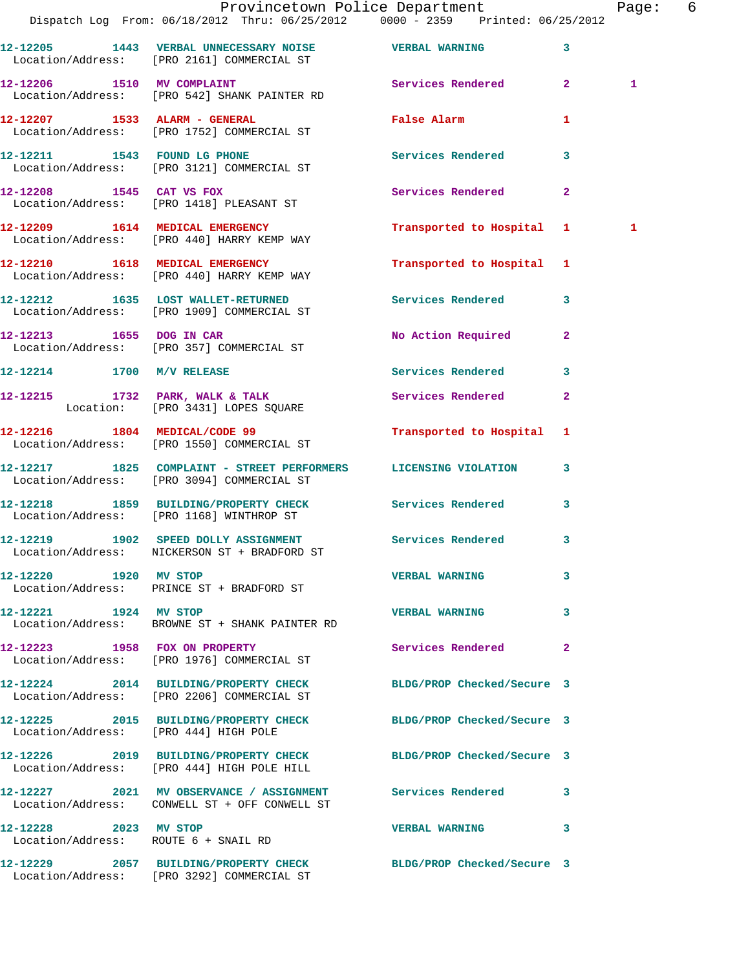|                                       | Dispatch Log From: 06/18/2012 Thru: 06/25/2012 0000 - 2359 Printed: 06/25/2012                                  | Provincetown Police Department |                | Page: 6 |  |
|---------------------------------------|-----------------------------------------------------------------------------------------------------------------|--------------------------------|----------------|---------|--|
|                                       | 12-12205 1443 VERBAL UNNECESSARY NOISE VERBAL WARNING<br>Location/Address: [PRO 2161] COMMERCIAL ST             |                                | $\mathbf{3}$   |         |  |
|                                       | 12-12206 1510 MV COMPLAINT Services Rendered 2<br>Location/Address: [PRO 542] SHANK PAINTER RD                  |                                |                | 1       |  |
|                                       | 12-12207 1533 ALARM - GENERAL<br>Location/Address: [PRO 1752] COMMERCIAL ST                                     | False Alarm <b>Example 2</b>   | $\mathbf{1}$   |         |  |
|                                       | 12-12211 1543 FOUND LG PHONE 2000 Services Rendered<br>Location/Address: [PRO 3121] COMMERCIAL ST               |                                | 3              |         |  |
|                                       | 12-12208 1545 CAT VS FOX<br>Location/Address: [PRO 1418] PLEASANT ST                                            | Services Rendered              | $\overline{2}$ |         |  |
|                                       | 12-12209 1614 MEDICAL EMERGENCY<br>Location/Address: [PRO 440] HARRY KEMP WAY                                   | Transported to Hospital 1      |                | 1       |  |
|                                       | 12-12210 1618 MEDICAL EMERGENCY<br>Location/Address: [PRO 440] HARRY KEMP WAY                                   | Transported to Hospital 1      |                |         |  |
|                                       | 12-12212 1635 LOST WALLET-RETURNED Services Rendered 3<br>Location/Address: [PRO 1909] COMMERCIAL ST            |                                |                |         |  |
| 12-12213 1655 DOG IN CAR              | Location/Address: [PRO 357] COMMERCIAL ST                                                                       | No Action Required 2           |                |         |  |
|                                       | 12-12214 1700 M/V RELEASE                                                                                       | Services Rendered              | 3              |         |  |
|                                       | 12-12215 1732 PARK, WALK & TALK<br>Location: [PRO 3431] LOPES SQUARE                                            | Services Rendered              | $\mathbf{2}$   |         |  |
|                                       | 12-12216 1804 MEDICAL/CODE 99<br>Location/Address: [PRO 1550] COMMERCIAL ST                                     | Transported to Hospital 1      |                |         |  |
|                                       | 12-12217 1825 COMPLAINT - STREET PERFORMERS LICENSING VIOLATION 3<br>Location/Address: [PRO 3094] COMMERCIAL ST |                                |                |         |  |
|                                       | 12-12218 1859 BUILDING/PROPERTY CHECK<br>Location/Address: [PRO 1168] WINTHROP ST                               | Services Rendered              | $\mathbf{3}$   |         |  |
|                                       | 12-12219 1902 SPEED DOLLY ASSIGNMENT Services Rendered 3<br>Location/Address: NICKERSON ST + BRADFORD ST        |                                |                |         |  |
| 12-12220 1920 MV STOP                 | Location/Address: PRINCE ST + BRADFORD ST                                                                       | <b>VERBAL WARNING</b>          | 3              |         |  |
| 12-12221 1924 MV STOP                 | Location/Address: BROWNE ST + SHANK PAINTER RD                                                                  | <b>VERBAL WARNING</b>          | $\mathbf{3}$   |         |  |
|                                       | 12-12223 1958 FOX ON PROPERTY<br>Location/Address: [PRO 1976] COMMERCIAL ST                                     | Services Rendered              | $\mathbf{2}$   |         |  |
|                                       | 12-12224 2014 BUILDING/PROPERTY CHECK<br>Location/Address: [PRO 2206] COMMERCIAL ST                             | BLDG/PROP Checked/Secure 3     |                |         |  |
| Location/Address: [PRO 444] HIGH POLE | 12-12225 2015 BUILDING/PROPERTY CHECK BLDG/PROP Checked/Secure 3                                                |                                |                |         |  |
|                                       | 12-12226 2019 BUILDING/PROPERTY CHECK BLDG/PROP Checked/Secure 3<br>Location/Address: [PRO 444] HIGH POLE HILL  |                                |                |         |  |
|                                       | 12-12227 2021 MV OBSERVANCE / ASSIGNMENT Services Rendered 3<br>Location/Address: CONWELL ST + OFF CONWELL ST   |                                |                |         |  |
| 12-12228 2023 MV STOP                 | Location/Address: ROUTE 6 + SNAIL RD                                                                            | VERBAL WARNING 3               |                |         |  |
|                                       | 12-12229 2057 BUILDING/PROPERTY CHECK BLDG/PROP Checked/Secure 3<br>Location/Address: [PRO 3292] COMMERCIAL ST  |                                |                |         |  |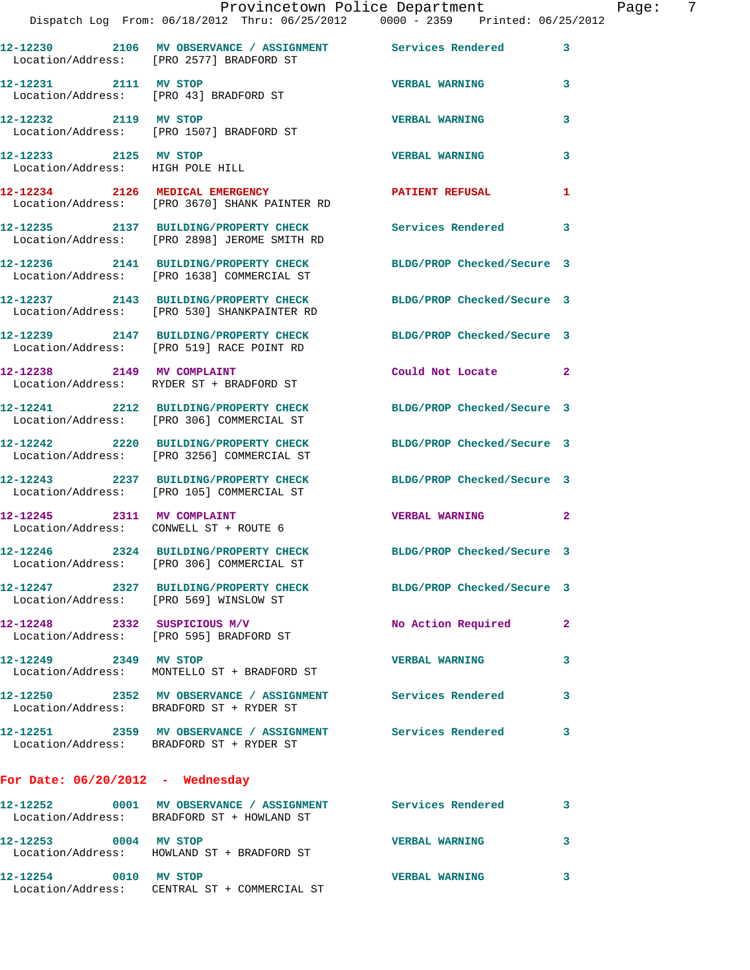|                                                           | Provincetown Police Department<br>Dispatch Log From: 06/18/2012 Thru: 06/25/2012 0000 - 2359 Printed: 06/25/2012 |                            | Page: 7        |
|-----------------------------------------------------------|------------------------------------------------------------------------------------------------------------------|----------------------------|----------------|
|                                                           | 12-12230 2106 MV OBSERVANCE / ASSIGNMENT Services Rendered<br>Location/Address: [PRO 2577] BRADFORD ST           |                            | $\mathbf{3}$   |
| 12-12231 2111 MV STOP                                     | Location/Address: [PRO 43] BRADFORD ST                                                                           | <b>VERBAL WARNING</b>      | 3              |
|                                                           | 12-12232 2119 MV STOP<br>Location/Address: [PRO 1507] BRADFORD ST                                                | <b>VERBAL WARNING</b>      | 3              |
| 12-12233 2125 MV STOP<br>Location/Address: HIGH POLE HILL |                                                                                                                  | <b>VERBAL WARNING</b>      | 3              |
|                                                           | 12-12234 2126 MEDICAL EMERGENCY<br>Location/Address: [PRO 3670] SHANK PAINTER RD                                 | PATIENT REFUSAL            | $\mathbf{1}$   |
|                                                           | 12-12235 2137 BUILDING/PROPERTY CHECK Services Rendered<br>Location/Address: [PRO 2898] JEROME SMITH RD          |                            | 3              |
|                                                           | 12-12236 2141 BUILDING/PROPERTY CHECK BLDG/PROP Checked/Secure 3<br>Location/Address: [PRO 1638] COMMERCIAL ST   |                            |                |
|                                                           | 12-12237 2143 BUILDING/PROPERTY CHECK BLDG/PROP Checked/Secure 3<br>Location/Address: [PRO 530] SHANKPAINTER RD  |                            |                |
|                                                           | 12-12239 2147 BUILDING/PROPERTY CHECK BLDG/PROP Checked/Secure 3<br>Location/Address: [PRO 519] RACE POINT RD    |                            |                |
|                                                           | 12-12238 2149 MV COMPLAINT<br>Location/Address: RYDER ST + BRADFORD ST                                           | Could Not Locate 2         |                |
|                                                           | 12-12241 2212 BUILDING/PROPERTY CHECK BLDG/PROP Checked/Secure 3<br>Location/Address: [PRO 306] COMMERCIAL ST    |                            |                |
|                                                           | 12-12242 2220 BUILDING/PROPERTY CHECK BLDG/PROP Checked/Secure 3<br>Location/Address: [PRO 3256] COMMERCIAL ST   |                            |                |
|                                                           | 12-12243 2237 BUILDING/PROPERTY CHECK BLDG/PROP Checked/Secure 3<br>Location/Address: [PRO 105] COMMERCIAL ST    |                            |                |
| Location/Address: CONWELL ST + ROUTE 6                    | 12-12245 2311 MV COMPLAINT                                                                                       | <b>VERBAL WARNING</b>      | $\mathbf{2}$   |
|                                                           | 12-12246 2324 BUILDING/PROPERTY CHECK<br>Location/Address: [PRO 306] COMMERCIAL ST                               | BLDG/PROP Checked/Secure 3 |                |
| Location/Address: [PRO 569] WINSLOW ST                    | 12-12247 2327 BUILDING/PROPERTY CHECK BLDG/PROP Checked/Secure 3                                                 |                            |                |
| 12-12248 2332 SUSPICIOUS M/V                              | Location/Address: [PRO 595] BRADFORD ST                                                                          | No Action Required         | $\overline{2}$ |
| 12-12249 2349 MV STOP                                     | Location/Address: MONTELLO ST + BRADFORD ST                                                                      | <b>VERBAL WARNING</b>      | 3              |
|                                                           | 12-12250 2352 MV OBSERVANCE / ASSIGNMENT Services Rendered<br>Location/Address: BRADFORD ST + RYDER ST           |                            | 3              |
|                                                           | 12-12251 2359 MV OBSERVANCE / ASSIGNMENT Services Rendered<br>Location/Address: BRADFORD ST + RYDER ST           |                            | 3              |
| For Date: $06/20/2012$ - Wednesday                        |                                                                                                                  |                            |                |
|                                                           | 12-12252 0001 MV OBSERVANCE / ASSIGNMENT Services Rendered<br>Location/Address: BRADFORD ST + HOWLAND ST         |                            | 3              |
| 12-12253 0004 MV STOP                                     | Location/Address: HOWLAND ST + BRADFORD ST                                                                       | <b>VERBAL WARNING</b>      | 3              |
|                                                           |                                                                                                                  |                            |                |

**12-12254 0010 MV STOP VERBAL WARNING 3** 

Location/Address: CENTRAL ST + COMMERCIAL ST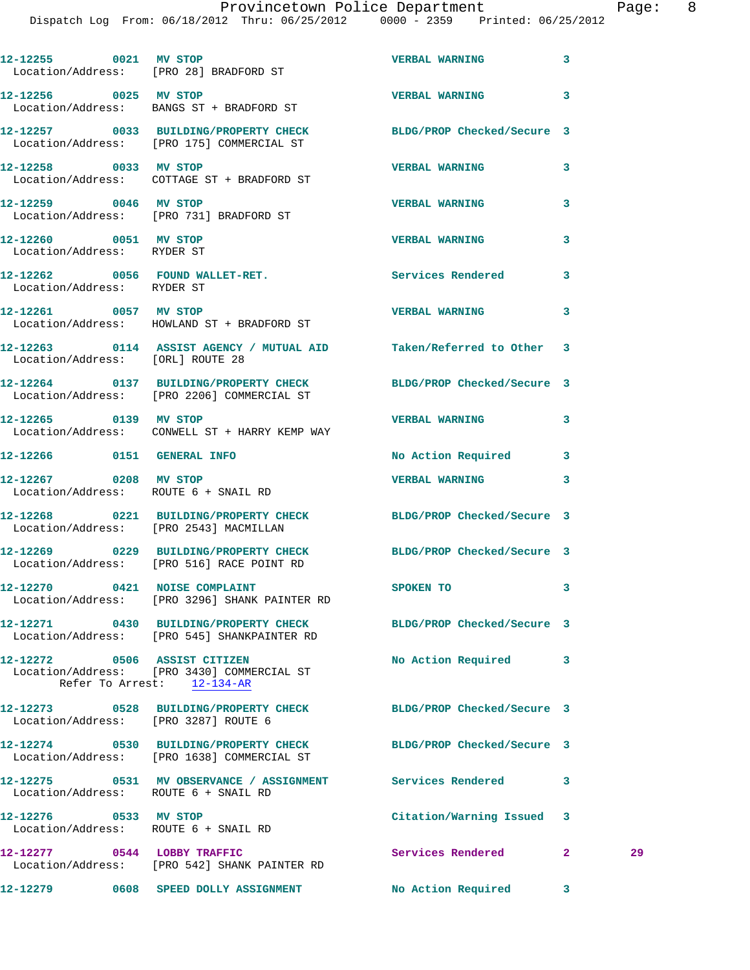|                                                     | 12-12255 0021 MV STOP<br>Location/Address: [PRO 28] BRADFORD ST                                                 | <b>VERBAL WARNING</b>      | 3            |    |
|-----------------------------------------------------|-----------------------------------------------------------------------------------------------------------------|----------------------------|--------------|----|
| 12-12256 0025 MV STOP                               | Location/Address: BANGS ST + BRADFORD ST                                                                        | <b>VERBAL WARNING</b>      | 3            |    |
|                                                     | 12-12257 0033 BUILDING/PROPERTY CHECK<br>Location/Address: [PRO 175] COMMERCIAL ST                              | BLDG/PROP Checked/Secure 3 |              |    |
| 12-12258 0033 MV STOP                               | Location/Address: COTTAGE ST + BRADFORD ST                                                                      | <b>VERBAL WARNING</b>      | 3            |    |
| 12-12259 0046 MV STOP                               | Location/Address: [PRO 731] BRADFORD ST                                                                         | <b>VERBAL WARNING</b>      | 3            |    |
| 12-12260 0051 MV STOP                               |                                                                                                                 | <b>VERBAL WARNING</b>      | 3            |    |
| Location/Address: RYDER ST                          | 12-12262 0056 FOUND WALLET-RET.                                                                                 | Services Rendered          | 3            |    |
| Location/Address: RYDER ST<br>12-12261 0057 MV STOP |                                                                                                                 | <b>VERBAL WARNING</b>      | 3            |    |
|                                                     | Location/Address: HOWLAND ST + BRADFORD ST                                                                      |                            |              |    |
| Location/Address: [ORL] ROUTE 28                    | 12-12263 0114 ASSIST AGENCY / MUTUAL AID Taken/Referred to Other 3                                              |                            |              |    |
|                                                     | 12-12264 0137 BUILDING/PROPERTY CHECK<br>Location/Address: [PRO 2206] COMMERCIAL ST                             | BLDG/PROP Checked/Secure 3 |              |    |
| 12-12265 0139 MV STOP                               | Location/Address: CONWELL ST + HARRY KEMP WAY                                                                   | <b>VERBAL WARNING</b>      | 3            |    |
| 12-12266 0151 GENERAL INFO                          |                                                                                                                 | No Action Required         | 3            |    |
|                                                     | 12-12267 0208 MV STOP<br>Location/Address: ROUTE 6 + SNAIL RD                                                   | <b>VERBAL WARNING</b>      | 3            |    |
|                                                     | 12-12268 0221 BUILDING/PROPERTY CHECK<br>Location/Address: [PRO 2543] MACMILLAN                                 | BLDG/PROP Checked/Secure 3 |              |    |
|                                                     | 12-12269 0229 BUILDING/PROPERTY CHECK<br>Location/Address: [PRO 516] RACE POINT RD                              | BLDG/PROP Checked/Secure 3 |              |    |
|                                                     | 12-12270 0421 NOISE COMPLAINT<br>Location/Address: [PRO 3296] SHANK PAINTER RD                                  | SPOKEN TO                  |              |    |
|                                                     | 12-12271 0430 BUILDING/PROPERTY CHECK BLDG/PROP Checked/Secure 3<br>Location/Address: [PRO 545] SHANKPAINTER RD |                            |              |    |
| 12-12272 0506 ASSIST CITIZEN                        | Location/Address: [PRO 3430] COMMERCIAL ST<br>Refer To Arrest: 12-134-AR                                        | No Action Required 3       |              |    |
|                                                     | 12-12273 0528 BUILDING/PROPERTY CHECK BLDG/PROP Checked/Secure 3<br>Location/Address: [PRO 3287] ROUTE 6        |                            |              |    |
|                                                     | 12-12274 0530 BUILDING/PROPERTY CHECK<br>Location/Address: [PRO 1638] COMMERCIAL ST                             | BLDG/PROP Checked/Secure 3 |              |    |
|                                                     | 12-12275 0531 MV OBSERVANCE / ASSIGNMENT Services Rendered<br>Location/Address: ROUTE 6 + SNAIL RD              |                            | 3            |    |
| 12-12276 0533 MV STOP                               | Location/Address: ROUTE 6 + SNAIL RD                                                                            | Citation/Warning Issued    | 3            |    |
|                                                     | 12-12277 0544 LOBBY TRAFFIC<br>Location/Address: [PRO 542] SHANK PAINTER RD                                     | Services Rendered          | $\mathbf{2}$ | 29 |
|                                                     | 12-12279 0608 SPEED DOLLY ASSIGNMENT                                                                            | No Action Required         | 3            |    |
|                                                     |                                                                                                                 |                            |              |    |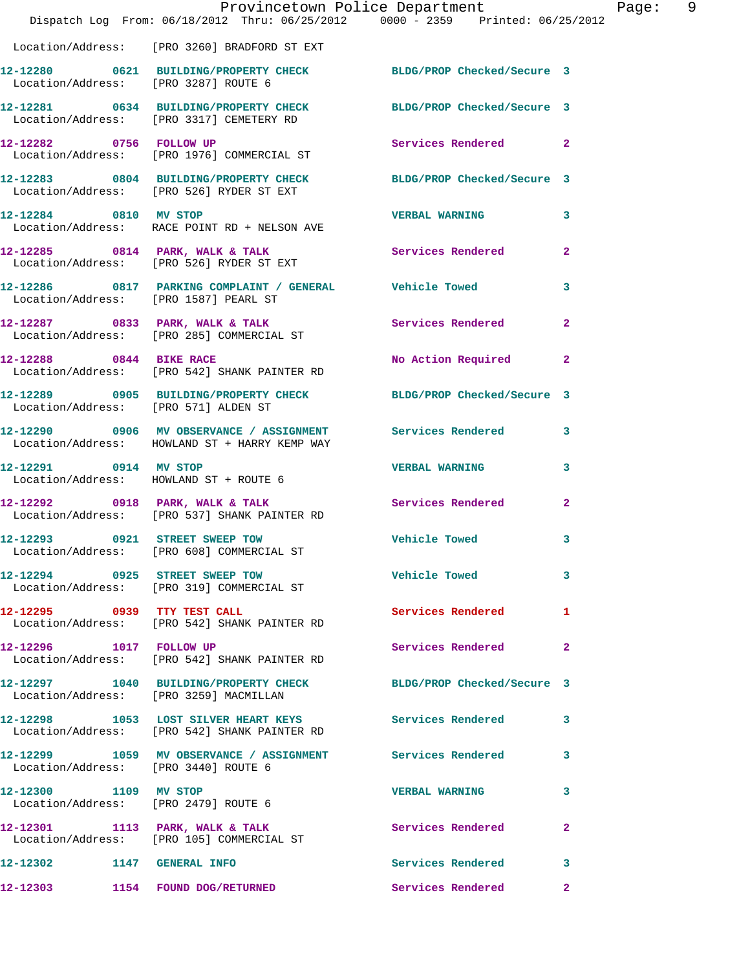|                                      | Provincetown Police Department<br>Dispatch Log From: 06/18/2012 Thru: 06/25/2012 0000 - 2359 Printed: 06/25/2012 |                             | Page: 9        |
|--------------------------------------|------------------------------------------------------------------------------------------------------------------|-----------------------------|----------------|
|                                      | Location/Address: [PRO 3260] BRADFORD ST EXT                                                                     |                             |                |
|                                      | 12-12280 0621 BUILDING/PROPERTY CHECK BLDG/PROP Checked/Secure 3<br>Location/Address: [PRO 3287] ROUTE 6         |                             |                |
|                                      | 12-12281 0634 BUILDING/PROPERTY CHECK BLDG/PROP Checked/Secure 3<br>Location/Address: [PRO 3317] CEMETERY RD     |                             |                |
|                                      | 12-12282 0756 FOLLOW UP<br>Location/Address: [PRO 1976] COMMERCIAL ST                                            | Services Rendered 2         |                |
|                                      | 12-12283 0804 BUILDING/PROPERTY CHECK BLDG/PROP Checked/Secure 3<br>Location/Address: [PRO 526] RYDER ST EXT     |                             |                |
|                                      | 12-12284 0810 MV STOP<br>Location/Address: RACE POINT RD + NELSON AVE                                            | <b>VERBAL WARNING</b>       | $\mathbf{3}$   |
|                                      | 12-12285 0814 PARK, WALK & TALK Services Rendered<br>Location/Address: [PRO 526] RYDER ST EXT                    |                             | $\overline{2}$ |
|                                      | 12-12286 0817 PARKING COMPLAINT / GENERAL Vehicle Towed 3<br>Location/Address: [PRO 1587] PEARL ST               |                             |                |
|                                      | 12-12287 0833 PARK, WALK & TALK 30 Services Rendered<br>Location/Address: [PRO 285] COMMERCIAL ST                |                             | $\mathbf{2}$   |
| 12-12288 0844 BIKE RACE              | Location/Address: [PRO 542] SHANK PAINTER RD                                                                     | No Action Required 2        |                |
| Location/Address: [PRO 571] ALDEN ST | 12-12289 0905 BUILDING/PROPERTY CHECK BLDG/PROP Checked/Secure 3                                                 |                             |                |
|                                      | 12-12290 0906 MV OBSERVANCE / ASSIGNMENT Services Rendered 3<br>Location/Address: HOWLAND ST + HARRY KEMP WAY    |                             |                |
|                                      | 12-12291 0914 MV STOP<br>Location/Address: HOWLAND ST + ROUTE 6                                                  | <b>VERBAL WARNING</b>       | $\mathbf{3}$   |
|                                      | $12-12292$ 0918 PARK, WALK & TALK<br>Location/Address: [PRO 537] SHANK PAINTER RD                                | Services Rendered           | $\mathbf{2}$   |
|                                      | 12-12293 0921 STREET SWEEP TOW<br>Location/Address: [PRO 608] COMMERCIAL ST                                      | Vehicle Towed               | $\mathbf{3}$   |
|                                      | 12-12294 0925 STREET SWEEP TOW<br>Location/Address: [PRO 319] COMMERCIAL ST                                      | Vehicle Towed <b>Search</b> | 3              |
|                                      | 12-12295 0939 TTY TEST CALL<br>Location/Address: [PRO 542] SHANK PAINTER RD                                      | <b>Services Rendered</b> 1  |                |
| 12-12296 1017 FOLLOW UP              | Location/Address: [PRO 542] SHANK PAINTER RD                                                                     | Services Rendered 2         |                |
|                                      | 12-12297 1040 BUILDING/PROPERTY CHECK BLDG/PROP Checked/Secure 3<br>Location/Address: [PRO 3259] MACMILLAN       |                             |                |
|                                      | 12-12298 1053 LOST SILVER HEART KEYS Services Rendered 3<br>Location/Address: [PRO 542] SHANK PAINTER RD         |                             |                |
| Location/Address: [PRO 3440] ROUTE 6 | 12-12299 1059 MV OBSERVANCE / ASSIGNMENT Services Rendered                                                       |                             | 3              |
| 12-12300 1109 MV STOP                | Location/Address: [PRO 2479] ROUTE 6                                                                             | <b>VERBAL WARNING</b>       | 3              |
|                                      | 12-12301 1113 PARK, WALK & TALK<br>Location/Address: [PRO 105] COMMERCIAL ST                                     | Services Rendered           | $\mathbf{2}$   |
| 12-12302 1147 GENERAL INFO           |                                                                                                                  | Services Rendered           | 3              |
|                                      | 12-12303 1154 FOUND DOG/RETURNED Services Rendered                                                               |                             | $\mathbf{2}$   |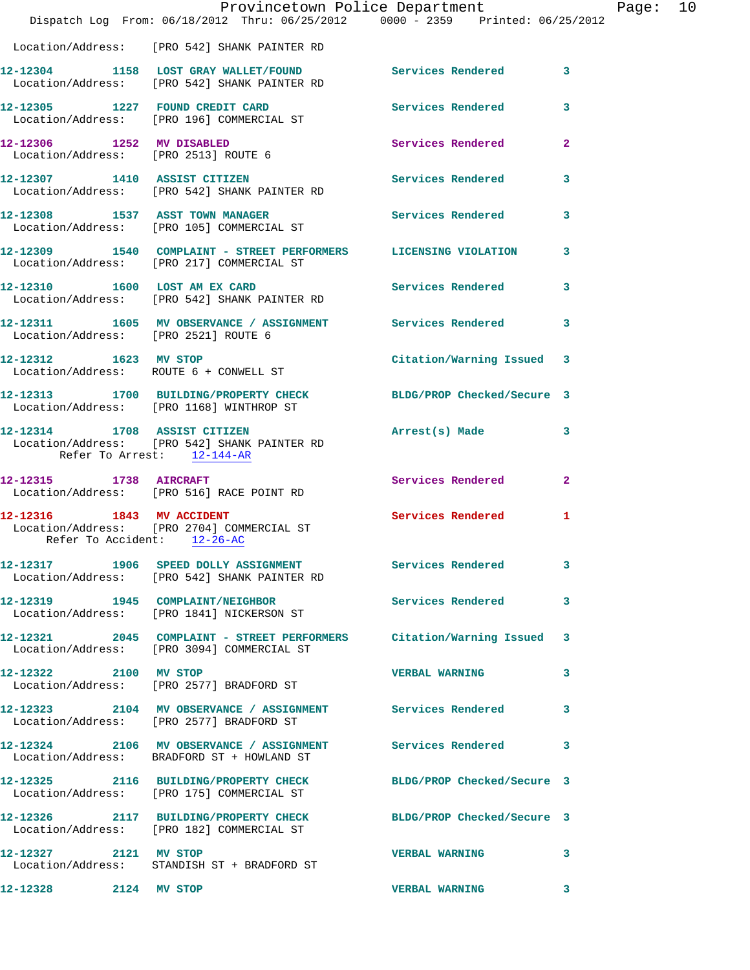|                                                          | Provincetown Police Department                                                                                    |                            |              |
|----------------------------------------------------------|-------------------------------------------------------------------------------------------------------------------|----------------------------|--------------|
|                                                          | Dispatch Log From: 06/18/2012 Thru: 06/25/2012 0000 - 2359 Printed: 06/25/2012                                    |                            |              |
|                                                          | Location/Address: [PRO 542] SHANK PAINTER RD                                                                      |                            |              |
|                                                          | 12-12304 1158 LOST GRAY WALLET/FOUND Services Rendered<br>Location/Address: [PRO 542] SHANK PAINTER RD            |                            | $\mathbf{3}$ |
|                                                          | 12-12305 1227 FOUND CREDIT CARD Services Rendered<br>Location/Address: [PRO 196] COMMERCIAL ST                    |                            | 3            |
| 12-12306 1252 MV DISABLED                                | Location/Address: [PRO 2513] ROUTE 6                                                                              | <b>Services Rendered</b>   | $\mathbf{2}$ |
|                                                          | 12-12307 1410 ASSIST CITIZEN<br>Location/Address: [PRO 542] SHANK PAINTER RD                                      | Services Rendered          | 3            |
|                                                          | 12-12308 1537 ASST TOWN MANAGER<br>Location/Address: [PRO 105] COMMERCIAL ST                                      | Services Rendered          | 3            |
|                                                          | 12-12309 1540 COMPLAINT - STREET PERFORMERS LICENSING VIOLATION<br>Location/Address: [PRO 217] COMMERCIAL ST      |                            | 3            |
|                                                          | 12-12310 1600 LOST AM EX CARD<br>Location/Address: [PRO 542] SHANK PAINTER RD                                     | Services Rendered          | 3            |
|                                                          | 12-12311 1605 MV OBSERVANCE / ASSIGNMENT Services Rendered<br>Location/Address: [PRO 2521] ROUTE 6                |                            | 3            |
| 12-12312 1623 MV STOP                                    | Location/Address: ROUTE 6 + CONWELL ST                                                                            | Citation/Warning Issued    | 3            |
|                                                          | 12-12313 1700 BUILDING/PROPERTY CHECK<br>Location/Address: [PRO 1168] WINTHROP ST                                 | BLDG/PROP Checked/Secure 3 |              |
| Refer To Arrest: 12-144-AR                               | 12-12314 1708 ASSIST CITIZEN<br>Location/Address: [PRO 542] SHANK PAINTER RD                                      | Arrest(s) Made             | 3            |
| 12-12315 1738 AIRCRAFT                                   | Location/Address: [PRO 516] RACE POINT RD                                                                         | <b>Services Rendered</b>   | $\mathbf{2}$ |
| 12-12316 1843 MV ACCIDENT<br>Refer To Accident: 12-26-AC | Location/Address: [PRO 2704] COMMERCIAL ST                                                                        | <b>Services Rendered</b>   | 1            |
|                                                          | 12-12317 1906 SPEED DOLLY ASSIGNMENT Services Rendered<br>Location/Address: [PRO 542] SHANK PAINTER RD            |                            | 3            |
|                                                          | 12-12319 1945 COMPLAINT/NEIGHBOR<br>Location/Address: [PRO 1841] NICKERSON ST                                     | <b>Services Rendered</b>   | 3            |
|                                                          | 12-12321 2045 COMPLAINT - STREET PERFORMERS Citation/Warning Issued<br>Location/Address: [PRO 3094] COMMERCIAL ST |                            | 3            |
| 12-12322 2100 MV STOP                                    | Location/Address: [PRO 2577] BRADFORD ST                                                                          | <b>VERBAL WARNING</b>      | 3            |
|                                                          | 12-12323 2104 MV OBSERVANCE / ASSIGNMENT Services Rendered<br>Location/Address: [PRO 2577] BRADFORD ST            |                            | 3            |
|                                                          | 12-12324 2106 MV OBSERVANCE / ASSIGNMENT Services Rendered<br>Location/Address: BRADFORD ST + HOWLAND ST          |                            | 3            |
|                                                          | 12-12325 2116 BUILDING/PROPERTY CHECK BLDG/PROP Checked/Secure 3<br>Location/Address: [PRO 175] COMMERCIAL ST     |                            |              |
|                                                          | 12-12326 2117 BUILDING/PROPERTY CHECK BLDG/PROP Checked/Secure 3<br>Location/Address: [PRO 182] COMMERCIAL ST     |                            |              |
| 12-12327 2121 MV STOP                                    | Location/Address: STANDISH ST + BRADFORD ST                                                                       | <b>VERBAL WARNING</b>      | 3            |
| 12-12328 2124 MV STOP                                    |                                                                                                                   | <b>VERBAL WARNING</b>      | 3            |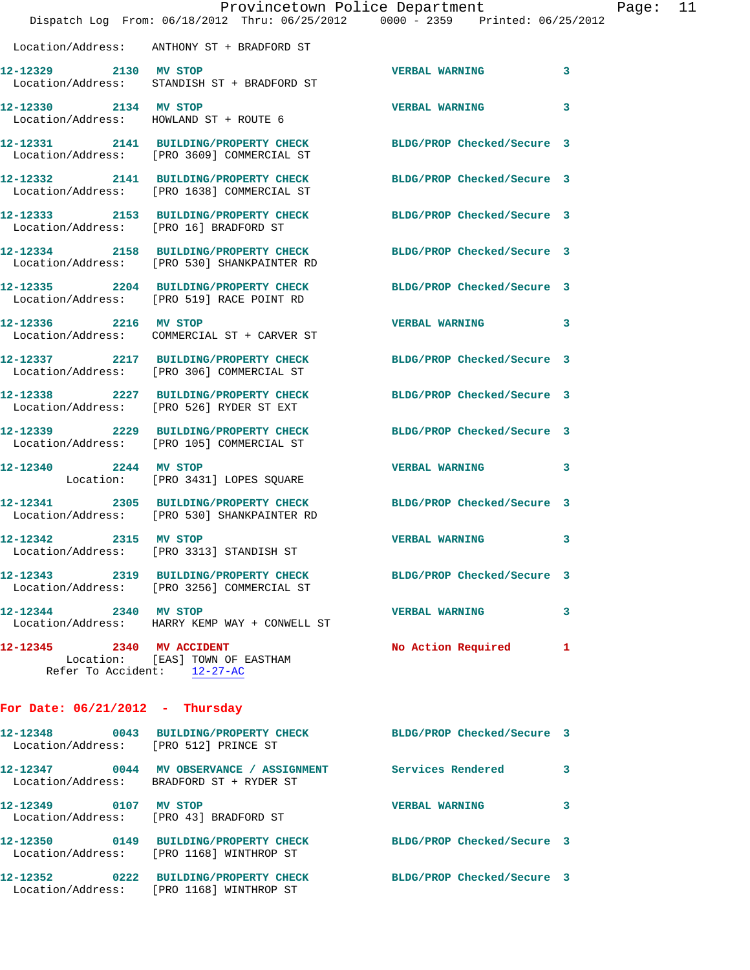|                                                          | Provincetown Police Department<br>Dispatch Log From: 06/18/2012 Thru: 06/25/2012 0000 - 2359 Printed: 06/25/2012 |                            |   |
|----------------------------------------------------------|------------------------------------------------------------------------------------------------------------------|----------------------------|---|
|                                                          | Location/Address: ANTHONY ST + BRADFORD ST                                                                       |                            |   |
| 12-12329 2130 MV STOP                                    | Location/Address: STANDISH ST + BRADFORD ST                                                                      | <b>VERBAL WARNING</b>      | 3 |
| 12-12330 2134 MV STOP                                    | Location/Address: HOWLAND ST + ROUTE 6                                                                           | <b>VERBAL WARNING</b>      | 3 |
|                                                          | 12-12331 2141 BUILDING/PROPERTY CHECK<br>Location/Address: [PRO 3609] COMMERCIAL ST                              | BLDG/PROP Checked/Secure 3 |   |
|                                                          | 12-12332 2141 BUILDING/PROPERTY CHECK<br>Location/Address: [PRO 1638] COMMERCIAL ST                              | BLDG/PROP Checked/Secure 3 |   |
| Location/Address: [PRO 16] BRADFORD ST                   | 12-12333 2153 BUILDING/PROPERTY CHECK                                                                            | BLDG/PROP Checked/Secure 3 |   |
|                                                          | 12-12334 2158 BUILDING/PROPERTY CHECK<br>Location/Address: [PRO 530] SHANKPAINTER RD                             | BLDG/PROP Checked/Secure 3 |   |
|                                                          | 12-12335 2204 BUILDING/PROPERTY CHECK<br>Location/Address: [PRO 519] RACE POINT RD                               | BLDG/PROP Checked/Secure 3 |   |
| 12-12336 2216 MV STOP                                    | Location/Address: COMMERCIAL ST + CARVER ST                                                                      | <b>VERBAL WARNING</b>      | 3 |
|                                                          | 12-12337 2217 BUILDING/PROPERTY CHECK<br>Location/Address: [PRO 306] COMMERCIAL ST                               | BLDG/PROP Checked/Secure 3 |   |
|                                                          | 12-12338 2227 BUILDING/PROPERTY CHECK<br>Location/Address: [PRO 526] RYDER ST EXT                                | BLDG/PROP Checked/Secure 3 |   |
|                                                          | 12-12339 2229 BUILDING/PROPERTY CHECK<br>Location/Address: [PRO 105] COMMERCIAL ST                               | BLDG/PROP Checked/Secure 3 |   |
|                                                          | 12-12340 2244 MV STOP<br>Location: [PRO 3431] LOPES SQUARE                                                       | <b>VERBAL WARNING</b>      | 3 |
|                                                          | 12-12341 2305 BUILDING/PROPERTY CHECK<br>Location/Address: [PRO 530] SHANKPAINTER RD                             | BLDG/PROP Checked/Secure 3 |   |
| 12-12342 2315 MV STOP                                    | Location/Address: [PRO 3313] STANDISH ST                                                                         | <b>VERBAL WARNING</b>      | 3 |
|                                                          | 12-12343 2319 BUILDING/PROPERTY CHECK<br>Location/Address: [PRO 3256] COMMERCIAL ST                              | BLDG/PROP Checked/Secure 3 |   |
| 12-12344 2340 MV STOP                                    | Location/Address: HARRY KEMP WAY + CONWELL ST                                                                    | <b>VERBAL WARNING</b>      | 3 |
| 12-12345 2340 MV ACCIDENT<br>Refer To Accident: 12-27-AC | Location: [EAS] TOWN OF EASTHAM                                                                                  | No Action Required         | 1 |
| For Date: $06/21/2012$ - Thursday                        |                                                                                                                  |                            |   |
| Location/Address: [PRO 512] PRINCE ST                    | 12-12348 0043 BUILDING/PROPERTY CHECK BLDG/PROP Checked/Secure 3                                                 |                            |   |
|                                                          | 12-12347 0044 MV OBSERVANCE / ASSIGNMENT Services Rendered<br>Location/Address: BRADFORD ST + RYDER ST           |                            | 3 |
| 12-12349 0107 MV STOP                                    | Location/Address: [PRO 43] BRADFORD ST                                                                           | <b>VERBAL WARNING</b>      | 3 |
|                                                          | 12-12350 0149 BUILDING/PROPERTY CHECK BLDG/PROP Checked/Secure 3<br>Location/Address: [PRO 1168] WINTHROP ST     |                            |   |
|                                                          | 12-12352 0222 BUILDING/PROPERTY CHECK BLDG/PROP Checked/Secure 3                                                 |                            |   |

Location/Address: [PRO 1168] WINTHROP ST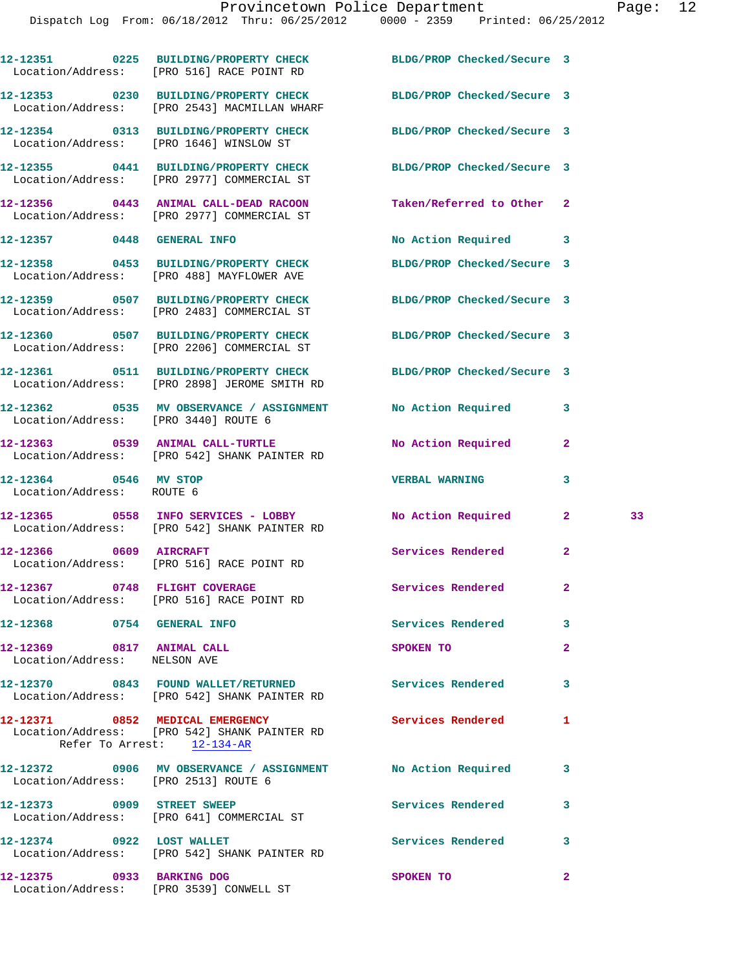Dispatch Log From: 06/18/2012 Thru: 06/25/2012 0000 - 2359 Printed: 06/25/2012

|                                                           | 12-12351 0225 BUILDING/PROPERTY CHECK BLDG/PROP Checked/Secure 3<br>Location/Address: [PRO 516] RACE POINT RD    |                            |                |    |
|-----------------------------------------------------------|------------------------------------------------------------------------------------------------------------------|----------------------------|----------------|----|
|                                                           | 12-12353 0230 BUILDING/PROPERTY CHECK BLDG/PROP Checked/Secure 3<br>Location/Address: [PRO 2543] MACMILLAN WHARF |                            |                |    |
|                                                           | 12-12354 0313 BUILDING/PROPERTY CHECK<br>Location/Address: [PRO 1646] WINSLOW ST                                 | BLDG/PROP Checked/Secure 3 |                |    |
|                                                           | 12-12355 0441 BUILDING/PROPERTY CHECK<br>Location/Address: [PRO 2977] COMMERCIAL ST                              | BLDG/PROP Checked/Secure 3 |                |    |
|                                                           | 12-12356 0443 ANIMAL CALL-DEAD RACOON<br>Location/Address: [PRO 2977] COMMERCIAL ST                              | Taken/Referred to Other 2  |                |    |
| 12-12357 0448 GENERAL INFO                                |                                                                                                                  | No Action Required 3       |                |    |
|                                                           | 12-12358 0453 BUILDING/PROPERTY CHECK BLDG/PROP Checked/Secure 3<br>Location/Address: [PRO 488] MAYFLOWER AVE    |                            |                |    |
|                                                           | 12-12359 0507 BUILDING/PROPERTY CHECK<br>Location/Address: [PRO 2483] COMMERCIAL ST                              | BLDG/PROP Checked/Secure 3 |                |    |
|                                                           | 12-12360 0507 BUILDING/PROPERTY CHECK<br>Location/Address: [PRO 2206] COMMERCIAL ST                              | BLDG/PROP Checked/Secure 3 |                |    |
|                                                           | 12-12361 0511 BUILDING/PROPERTY CHECK BLDG/PROP Checked/Secure 3<br>Location/Address: [PRO 2898] JEROME SMITH RD |                            |                |    |
| Location/Address: [PRO 3440] ROUTE 6                      | 12-12362 0535 MV OBSERVANCE / ASSIGNMENT No Action Required                                                      |                            | 3              |    |
|                                                           | 12-12363 0539 ANIMAL CALL-TURTLE<br>Location/Address: [PRO 542] SHANK PAINTER RD                                 | No Action Required         | $\overline{2}$ |    |
| 12-12364 0546 MV STOP<br>Location/Address: ROUTE 6        |                                                                                                                  | <b>VERBAL WARNING</b>      | 3              |    |
|                                                           | 12-12365 0558 INFO SERVICES - LOBBY No Action Required<br>Location/Address: [PRO 542] SHANK PAINTER RD           |                            | $\mathbf{2}$   | 33 |
| 12-12366 0609 AIRCRAFT                                    | Location/Address: [PRO 516] RACE POINT RD                                                                        | Services Rendered          | $\overline{2}$ |    |
| 12-12367                                                  | 0748 FLIGHT COVERAGE<br>Location/Address: [PRO 516] RACE POINT RD                                                | Services Rendered          | 2              |    |
| 12-12368 0754 GENERAL INFO                                |                                                                                                                  | Services Rendered 3        |                |    |
| 12-12369 0817 ANIMAL CALL<br>Location/Address: NELSON AVE |                                                                                                                  | SPOKEN TO                  | $\overline{a}$ |    |
|                                                           | 12-12370 0843 FOUND WALLET/RETURNED Services Rendered<br>Location/Address: [PRO 542] SHANK PAINTER RD            |                            | 3              |    |
| Refer To Arrest: 12-134-AR                                | 12-12371 0852 MEDICAL EMERGENCY<br>Location/Address: [PRO 542] SHANK PAINTER RD                                  | Services Rendered          | 1              |    |
| Location/Address: [PRO 2513] ROUTE 6                      | 12-12372 0906 MV OBSERVANCE / ASSIGNMENT No Action Required                                                      |                            | 3              |    |
|                                                           | 12-12373 0909 STREET SWEEP<br>Location/Address: [PRO 641] COMMERCIAL ST                                          | Services Rendered          | 3              |    |
| 12-12374 0922 LOST WALLET                                 | Location/Address: [PRO 542] SHANK PAINTER RD                                                                     | Services Rendered          | 3              |    |
| 12-12375 0933 BARKING DOG                                 | Location/Address: [PRO 3539] CONWELL ST                                                                          | SPOKEN TO                  | $\overline{2}$ |    |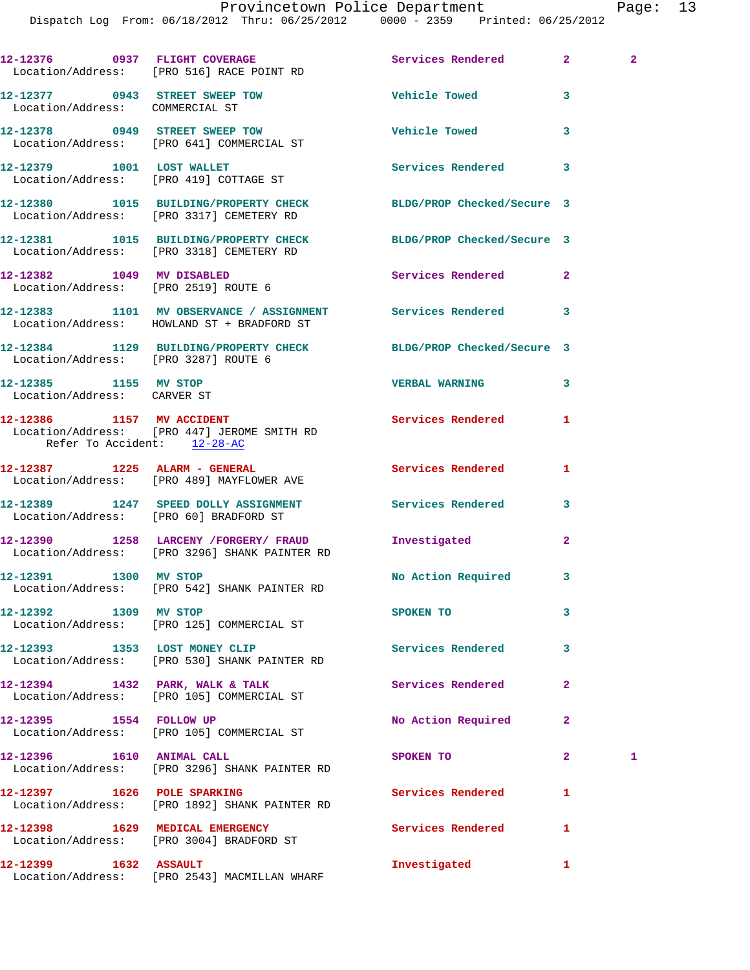|                                                                   | 12-12376 0937 FLIGHT COVERAGE<br>Location/Address: [PRO 516] RACE POINT RD                                   | Services Rendered        | $\mathbf{2}^-$ | $\mathbf{2}$ |
|-------------------------------------------------------------------|--------------------------------------------------------------------------------------------------------------|--------------------------|----------------|--------------|
| 12-12377 0943 STREET SWEEP TOW<br>Location/Address: COMMERCIAL ST |                                                                                                              | <b>Vehicle Towed</b>     | 3              |              |
|                                                                   | 12-12378 0949 STREET SWEEP TOW<br>Location/Address: [PRO 641] COMMERCIAL ST                                  | <b>Vehicle Towed</b>     | 3              |              |
|                                                                   | 12-12379 1001 LOST WALLET<br>Location/Address: [PRO 419] COTTAGE ST                                          | <b>Services Rendered</b> | 3              |              |
|                                                                   | 12-12380 1015 BUILDING/PROPERTY CHECK BLDG/PROP Checked/Secure 3<br>Location/Address: [PRO 3317] CEMETERY RD |                          |                |              |
|                                                                   | 12-12381 1015 BUILDING/PROPERTY CHECK BLDG/PROP Checked/Secure 3<br>Location/Address: [PRO 3318] CEMETERY RD |                          |                |              |
| 12-12382 1049 MV DISABLED                                         | Location/Address: [PRO 2519] ROUTE 6                                                                         | Services Rendered        | $\mathbf{2}$   |              |
|                                                                   | 12-12383 1101 MV OBSERVANCE / ASSIGNMENT Services Rendered<br>Location/Address: HOWLAND ST + BRADFORD ST     |                          | 3              |              |
| Location/Address: [PRO 3287] ROUTE 6                              | 12-12384 1129 BUILDING/PROPERTY CHECK BLDG/PROP Checked/Secure 3                                             |                          |                |              |
| 12-12385 1155 MV STOP<br>Location/Address: CARVER ST              |                                                                                                              | <b>VERBAL WARNING</b>    | 3              |              |
| 12-12386 1157 MV ACCIDENT<br>Refer To Accident: 12-28-AC          | Location/Address: [PRO 447] JEROME SMITH RD                                                                  | Services Rendered        | 1              |              |
|                                                                   | 12-12387 1225 ALARM - GENERAL<br>Location/Address: [PRO 489] MAYFLOWER AVE                                   | Services Rendered        | 1              |              |
|                                                                   | 12-12389 1247 SPEED DOLLY ASSIGNMENT<br>Location/Address: [PRO 60] BRADFORD ST                               | <b>Services Rendered</b> | 3              |              |
|                                                                   | 12-12390 1258 LARCENY /FORGERY/ FRAUD<br>Location/Address: [PRO 3296] SHANK PAINTER RD                       | Investigated             | $\mathbf{2}$   |              |
| 12-12391 1300                                                     | MV STOP<br>Location/Address: [PRO 542] SHANK PAINTER RD                                                      | No Action Required       | 3              |              |
| 12-12392 1309 MV STOP                                             | Location/Address: [PRO 125] COMMERCIAL ST                                                                    | SPOKEN TO                | 3              |              |
|                                                                   | 12-12393 1353 LOST MONEY CLIP<br>Location/Address: [PRO 530] SHANK PAINTER RD                                | <b>Services Rendered</b> | 3              |              |
|                                                                   | 12-12394 1432 PARK, WALK & TALK<br>Location/Address: [PRO 105] COMMERCIAL ST                                 | Services Rendered        | $\overline{2}$ |              |
| 12-12395 1554 FOLLOW UP                                           | Location/Address: [PRO 105] COMMERCIAL ST                                                                    | No Action Required       | $\mathbf{2}$   |              |
| 12-12396   1610   ANIMAL CALL                                     | Location/Address: [PRO 3296] SHANK PAINTER RD                                                                | SPOKEN TO                | $\overline{2}$ | 1            |
| 12-12397 1626 POLE SPARKING                                       | Location/Address: [PRO 1892] SHANK PAINTER RD                                                                | Services Rendered        | 1              |              |
|                                                                   | 12-12398 1629 MEDICAL EMERGENCY<br>Location/Address: [PRO 3004] BRADFORD ST                                  | Services Rendered        | 1              |              |
|                                                                   |                                                                                                              | Investigated             | 1              |              |

Location/Address: [PRO 2543] MACMILLAN WHARF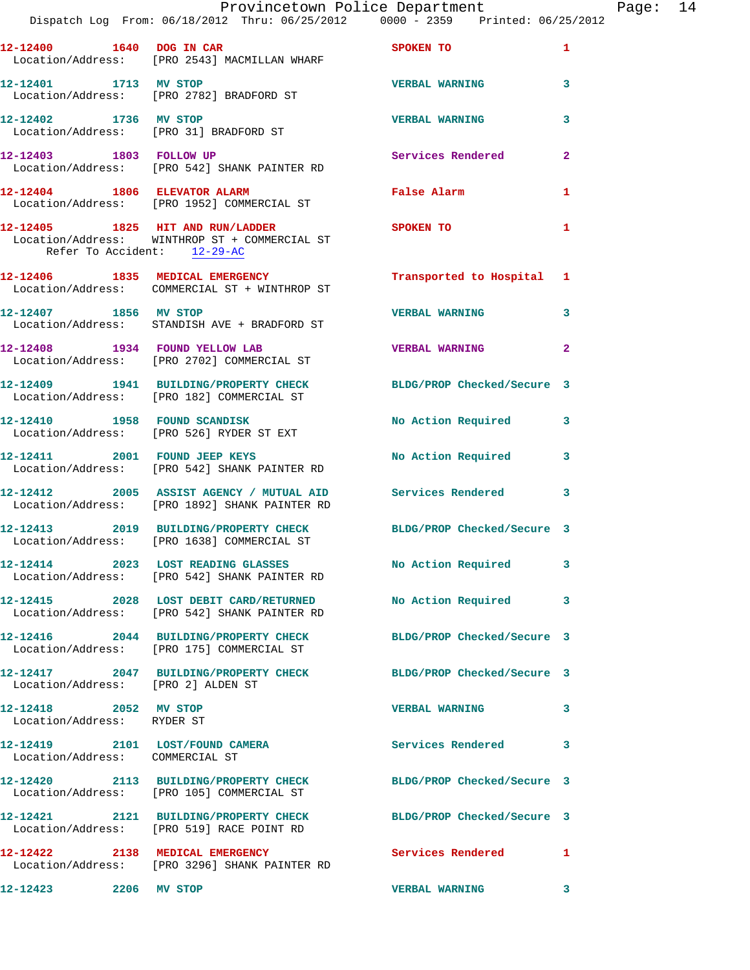|                                                     | Dispatch Log From: 06/18/2012 Thru: 06/25/2012 0000 - 2359 Printed: 06/25/2012                                 | Provincetown Police Department Page: 14 |              |  |
|-----------------------------------------------------|----------------------------------------------------------------------------------------------------------------|-----------------------------------------|--------------|--|
|                                                     | 12-12400 1640 DOG IN CAR<br>Location/Address: [PRO 2543] MACMILLAN WHARF                                       | SPOKEN TO                               | $\mathbf{1}$ |  |
| 12-12401 1713 MV STOP                               | Location/Address: [PRO 2782] BRADFORD ST                                                                       | <b>VERBAL WARNING</b>                   | 3            |  |
|                                                     | 12-12402 1736 MV STOP<br>Location/Address: [PRO 31] BRADFORD ST                                                | <b>VERBAL WARNING</b>                   | 3            |  |
|                                                     | 12-12403 1803 FOLLOW UP Services Rendered<br>Location/Address: [PRO 542] SHANK PAINTER RD                      |                                         | $\mathbf{2}$ |  |
|                                                     | 12-12404 1806 ELEVATOR ALARM<br>Location/Address: [PRO 1952] COMMERCIAL ST                                     | <b>False Alarm</b>                      | 1            |  |
| Refer To Accident: 12-29-AC                         | 12-12405 1825 HIT AND RUN/LADDER SPOKEN TO<br>Location/Address: WINTHROP ST + COMMERCIAL ST                    |                                         | $\mathbf{1}$ |  |
|                                                     | 12-12406 1835 MEDICAL EMERGENCY<br>Location/Address: COMMERCIAL ST + WINTHROP ST                               | Transported to Hospital 1               |              |  |
|                                                     | 12-12407 1856 MV STOP<br>Location/Address: STANDISH AVE + BRADFORD ST                                          | <b>VERBAL WARNING</b>                   | 3            |  |
|                                                     | 12-12408 1934 FOUND YELLOW LAB<br>Location/Address: [PRO 2702] COMMERCIAL ST                                   | <b>VERBAL WARNING</b>                   | $\mathbf{2}$ |  |
|                                                     | 12-12409 1941 BUILDING/PROPERTY CHECK BLDG/PROP Checked/Secure 3<br>Location/Address: [PRO 182] COMMERCIAL ST  |                                         |              |  |
|                                                     | 12-12410 1958 FOUND SCANDISK<br>Location/Address: [PRO 526] RYDER ST EXT                                       | No Action Required 3                    |              |  |
|                                                     | 12-12411 2001 FOUND JEEP KEYS<br>Location/Address: [PRO 542] SHANK PAINTER RD                                  | No Action Required 3                    |              |  |
|                                                     | 12-12412 2005 ASSIST AGENCY / MUTUAL AID Services Rendered<br>Location/Address: [PRO 1892] SHANK PAINTER RD    |                                         | 3            |  |
|                                                     | 12-12413 2019 BUILDING/PROPERTY CHECK BLDG/PROP Checked/Secure 3<br>Location/Address: [PRO 1638] COMMERCIAL ST |                                         |              |  |
|                                                     | 12-12414 2023 LOST READING GLASSES<br>Location/Address: [PRO 542] SHANK PAINTER RD                             | No Action Required 3                    |              |  |
|                                                     | 12-12415 2028 LOST DEBIT CARD/RETURNED No Action Required<br>Location/Address: [PRO 542] SHANK PAINTER RD      |                                         | -3           |  |
|                                                     | 12-12416 2044 BUILDING/PROPERTY CHECK BLDG/PROP Checked/Secure 3<br>Location/Address: [PRO 175] COMMERCIAL ST  |                                         |              |  |
| Location/Address: [PRO 2] ALDEN ST                  | 12-12417 2047 BUILDING/PROPERTY CHECK BLDG/PROP Checked/Secure 3                                               |                                         |              |  |
| 12-12418 2052 MV STOP<br>Location/Address: RYDER ST |                                                                                                                | VERBAL WARNING 3                        |              |  |
| Location/Address: COMMERCIAL ST                     | 12-12419 2101 LOST/FOUND CAMERA Services Rendered                                                              |                                         | 3            |  |
|                                                     | 12-12420 2113 BUILDING/PROPERTY CHECK BLDG/PROP Checked/Secure 3<br>Location/Address: [PRO 105] COMMERCIAL ST  |                                         |              |  |
|                                                     | 12-12421 2121 BUILDING/PROPERTY CHECK BLDG/PROP Checked/Secure 3<br>Location/Address: [PRO 519] RACE POINT RD  |                                         |              |  |
|                                                     | 12-12422 2138 MEDICAL EMERGENCY<br>Location/Address: [PRO 3296] SHANK PAINTER RD                               | <b>Services Rendered</b>                | $\mathbf{1}$ |  |
| 12-12423 2206 MV STOP                               |                                                                                                                | <b>VERBAL WARNING</b>                   | 3            |  |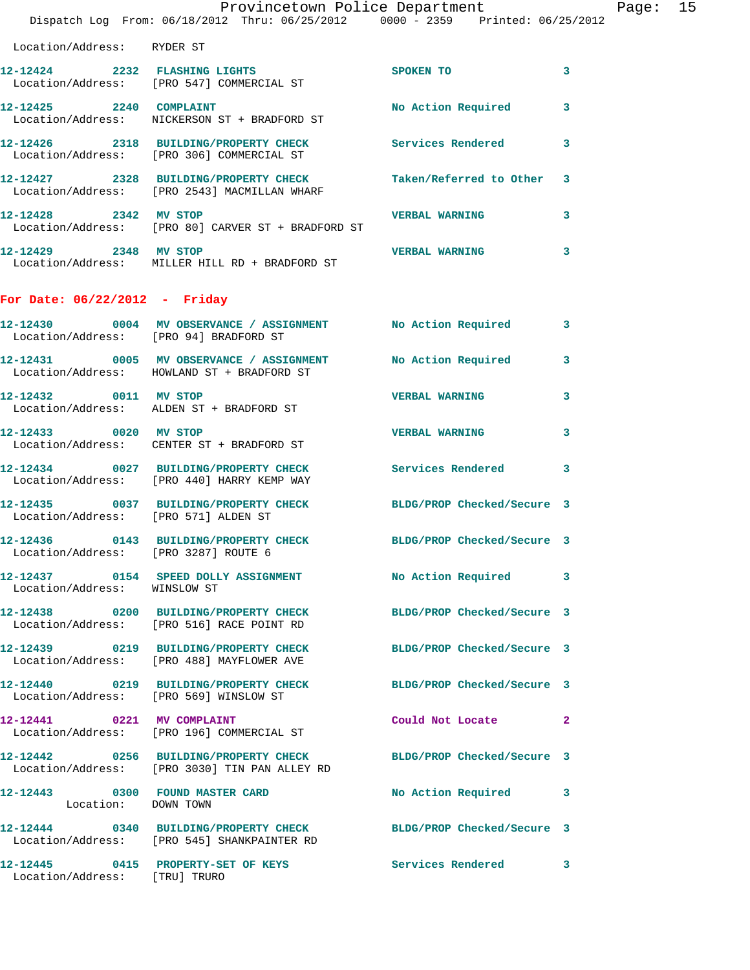|                                        | Dispatch Log From: 06/18/2012 Thru: 06/25/2012 0000 - 2359 Printed: 06/25/2012                                                                                                                                                                                                         | Provincetown Police Department |              | Page: 15 |  |
|----------------------------------------|----------------------------------------------------------------------------------------------------------------------------------------------------------------------------------------------------------------------------------------------------------------------------------------|--------------------------------|--------------|----------|--|
| Location/Address: RYDER ST             |                                                                                                                                                                                                                                                                                        |                                |              |          |  |
|                                        | 12-12424 2232 FLASHING LIGHTS<br>Location/Address: [PRO 547] COMMERCIAL ST                                                                                                                                                                                                             | <b>SPOKEN TO</b>               | 3            |          |  |
|                                        | 12-12425 2240 COMPLAINT<br>Location/Address: NICKERSON ST + BRADFORD ST                                                                                                                                                                                                                | <b>No Action Required</b>      | $\mathbf{3}$ |          |  |
|                                        | 12-12426 2318 BUILDING/PROPERTY CHECK Services Rendered 3<br>Location/Address: [PRO 306] COMMERCIAL ST                                                                                                                                                                                 |                                |              |          |  |
|                                        | 12-12427 2328 BUILDING/PROPERTY CHECK<br>Location/Address: [PRO 2543] MACMILLAN WHARF                                                                                                                                                                                                  | Taken/Referred to Other        | 3            |          |  |
| 12-12428 2342 MV STOP                  | Location/Address: [PRO 80] CARVER ST + BRADFORD ST                                                                                                                                                                                                                                     | <b>VERBAL WARNING</b>          | 3            |          |  |
| 12-12429 2348 MV STOP                  | <b>THE SET OF STREET ASSESSMENT OF STREET ASSESSMENT OF STREET AND THE STREET ASSESSMENT OF STREET AND ASSESSMENT OF STREET ASSESSMENT OF STREET AND ASSESSMENT OF STREET AND ASSESSMENT OF STREET ASSESSMENT OF STREET ASSESSME</b><br>Location/Address: MILLER HILL RD + BRADFORD ST |                                | 3            |          |  |
| For Date: $06/22/2012$ - Friday        |                                                                                                                                                                                                                                                                                        |                                |              |          |  |
| Location/Address: [PRO 94] BRADFORD ST | 12-12430 0004 MV OBSERVANCE / ASSIGNMENT No Action Required 3                                                                                                                                                                                                                          |                                |              |          |  |
|                                        | 12-12431 0005 MV OBSERVANCE / ASSIGNMENT<br>Location/Address: HOWLAND ST + BRADFORD ST                                                                                                                                                                                                 | No Action Required             | 3            |          |  |
|                                        | 12-12432 0011 MV STOP<br>Location/Address: ALDEN ST + BRADFORD ST                                                                                                                                                                                                                      | <b>VERBAL WARNING</b>          | 3            |          |  |
| 12-12433 0020 MV STOP                  | Location/Address: CENTER ST + BRADFORD ST                                                                                                                                                                                                                                              | <b>VERBAL WARNING</b>          | 3            |          |  |
|                                        | 12-12434 0027 BUILDING/PROPERTY CHECK Services Rendered<br>Location/Address: [PRO 440] HARRY KEMP WAY                                                                                                                                                                                  |                                | 3            |          |  |
| Location/Address: [PRO 571] ALDEN ST   | 12-12435 0037 BUILDING/PROPERTY CHECK BLDG/PROP Checked/Secure 3                                                                                                                                                                                                                       |                                |              |          |  |
| Location/Address: [PRO 3287] ROUTE 6   | 12-12436 0143 BUILDING/PROPERTY CHECK BLDG/PROP Checked/Secure 3                                                                                                                                                                                                                       |                                |              |          |  |
| Location/Address: WINSLOW ST           | 12-12437 0154 SPEED DOLLY ASSIGNMENT No Action Required 3                                                                                                                                                                                                                              |                                |              |          |  |
|                                        | 12-12438 0200 BUILDING/PROPERTY CHECK<br>Location/Address: [PRO 516] RACE POINT RD                                                                                                                                                                                                     | BLDG/PROP Checked/Secure 3     |              |          |  |
|                                        | 12-12439 0219 BUILDING/PROPERTY CHECK BLDG/PROP Checked/Secure 3<br>Location/Address: [PRO 488] MAYFLOWER AVE                                                                                                                                                                          |                                |              |          |  |
|                                        | 12-12440 0219 BUILDING/PROPERTY CHECK BLDG/PROP Checked/Secure 3<br>Location/Address: [PRO 569] WINSLOW ST                                                                                                                                                                             |                                |              |          |  |
|                                        | 12-12441 0221 MV COMPLAINT<br>Location/Address: [PRO 196] COMMERCIAL ST                                                                                                                                                                                                                | Could Not Locate 2             |              |          |  |
|                                        | 12-12442 0256 BUILDING/PROPERTY CHECK BLDG/PROP Checked/Secure 3<br>Location/Address: [PRO 3030] TIN PAN ALLEY RD                                                                                                                                                                      |                                |              |          |  |
| Location: DOWN TOWN                    | 12-12443 0300 FOUND MASTER CARD No Action Required 3                                                                                                                                                                                                                                   |                                |              |          |  |
|                                        | 12-12444 0340 BUILDING/PROPERTY CHECK BLDG/PROP Checked/Secure 3<br>Location/Address: [PRO 545] SHANKPAINTER RD                                                                                                                                                                        |                                |              |          |  |
| Location/Address: [TRU] TRURO          | 12-12445 0415 PROPERTY-SET OF KEYS                                                                                                                                                                                                                                                     | Services Rendered 3            |              |          |  |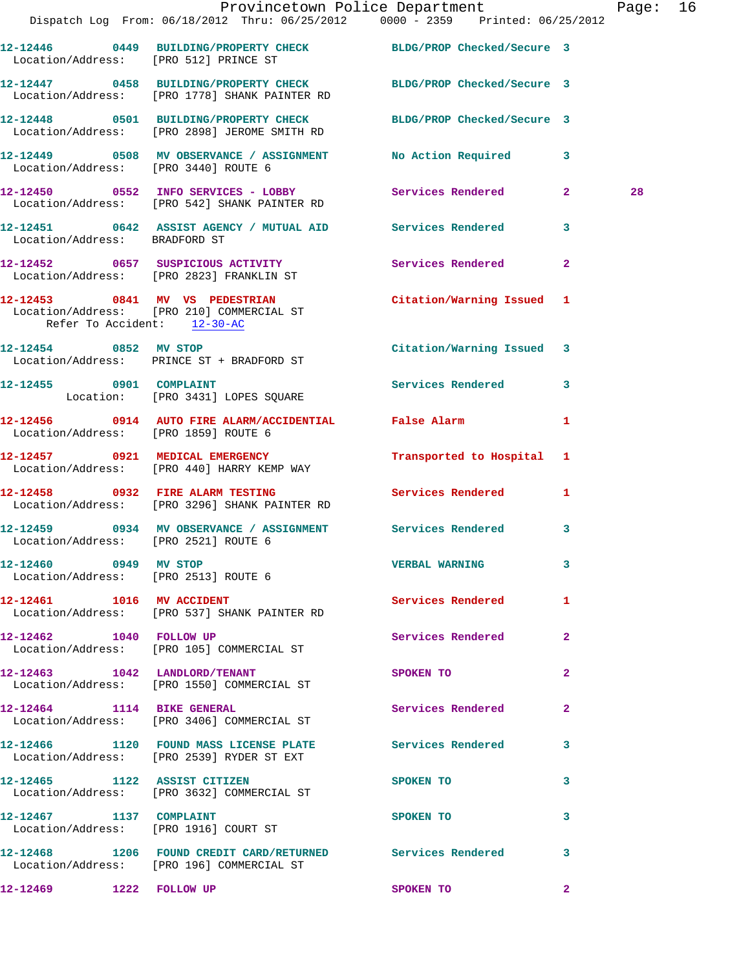|                               |                                                                                                                                      | Provincetown Police Department The Rage: 16 |    |  |
|-------------------------------|--------------------------------------------------------------------------------------------------------------------------------------|---------------------------------------------|----|--|
|                               | Dispatch Log From: 06/18/2012 Thru: 06/25/2012 0000 - 2359 Printed: 06/25/2012                                                       |                                             |    |  |
|                               | 12-12446 0449 BUILDING/PROPERTY CHECK BLDG/PROP Checked/Secure 3<br>Location/Address: [PRO 512] PRINCE ST                            |                                             |    |  |
|                               | 12-12447 0458 BUILDING/PROPERTY CHECK BLDG/PROP Checked/Secure 3<br>Location/Address: [PRO 1778] SHANK PAINTER RD                    |                                             |    |  |
|                               | 12-12448 0501 BUILDING/PROPERTY CHECK BLDG/PROP Checked/Secure 3<br>Location/Address: [PRO 2898] JEROME SMITH RD                     |                                             |    |  |
|                               | 12-12449 0508 MV OBSERVANCE / ASSIGNMENT No Action Required 3<br>Location/Address: [PRO 3440] ROUTE 6                                |                                             |    |  |
|                               | 12-12450 0552 INFO SERVICES - LOBBY<br>Location/Address: [PRO 542] SHANK PAINTER RD                                                  |                                             | 28 |  |
| Location/Address: BRADFORD ST | 12-12451 0642 ASSIST AGENCY / MUTUAL AID Services Rendered 3                                                                         |                                             |    |  |
|                               | 12-12452 0657 SUSPICIOUS ACTIVITY Services Rendered 2<br>Location/Address: [PRO 2823] FRANKLIN ST                                    |                                             |    |  |
|                               | 12-12453 0841 MV VS PEDESTRIAN Citation/Warning Issued 1<br>Location/Address: [PRO 210] COMMERCIAL ST<br>Refer To Accident: 12-30-AC |                                             |    |  |
|                               | 12-12454 0852 MV STOP<br>Location/Address: PRINCE ST + BRADFORD ST                                                                   | Citation/Warning Issued 3                   |    |  |
|                               | 12-12455 0901 COMPLAINT<br>Location: [PRO 3431] LOPES SQUARE                                                                         | Services Rendered 3                         |    |  |
|                               | 12-12456 0914 AUTO FIRE ALARM/ACCIDENTIAL False Alarm<br>Location/Address: [PRO 1859] ROUTE 6                                        | $\mathbf{1}$                                |    |  |
|                               | 12-12457 0921 MEDICAL EMERGENCY<br>Location/Address: [PRO 440] HARRY KEMP WAY                                                        | Transported to Hospital 1                   |    |  |
|                               | 12-12458 0932 FIRE ALARM TESTING Services Rendered<br>Location/Address: [PRO 3296] SHANK PAINTER RD                                  | 1                                           |    |  |
|                               | 12-12459 0934 MV OBSERVANCE / ASSIGNMENT Services Rendered 3<br>Location/Address: [PRO 2521] ROUTE 6                                 |                                             |    |  |
| 12-12460 0949 MV STOP         | Location/Address: [PRO 2513] ROUTE 6                                                                                                 | VERBAL WARNING 3                            |    |  |
|                               | 12-12461    1016    MV    ACCIDENT<br>Location/Address: [PRO 537] SHANK PAINTER RD                                                   | Services Rendered 1                         |    |  |
| 12-12462 1040 FOLLOW UP       | Location/Address: [PRO 105] COMMERCIAL ST                                                                                            | Services Rendered 2                         |    |  |
|                               | 12-12463 1042 LANDLORD/TENANT<br>Location/Address: [PRO 1550] COMMERCIAL ST                                                          | $\mathbf{2}$<br>SPOKEN TO NAME OF SPOKEN TO |    |  |
| 12-12464 1114 BIKE GENERAL    | Location/Address: [PRO 3406] COMMERCIAL ST                                                                                           | <b>Services Rendered</b> 2                  |    |  |
|                               | 12-12466 1120 FOUND MASS LICENSE PLATE Services Rendered 3<br>Location/Address: [PRO 2539] RYDER ST EXT                              |                                             |    |  |
|                               | 12-12465 1122 ASSIST CITIZEN<br>Location/Address: [PRO 3632] COMMERCIAL ST                                                           | 3<br>SPOKEN TO                              |    |  |
|                               | 12-12467 1137 COMPLAINT<br>Location/Address: [PRO 1916] COURT ST                                                                     | 3<br>SPOKEN TO                              |    |  |
|                               | 12-12468 1206 FOUND CREDIT CARD/RETURNED Services Rendered<br>Location/Address: [PRO 196] COMMERCIAL ST                              | 3                                           |    |  |
| 12-12469 1222 FOLLOW UP       |                                                                                                                                      | <b>SPOKEN TO</b><br>$\mathbf{2}$            |    |  |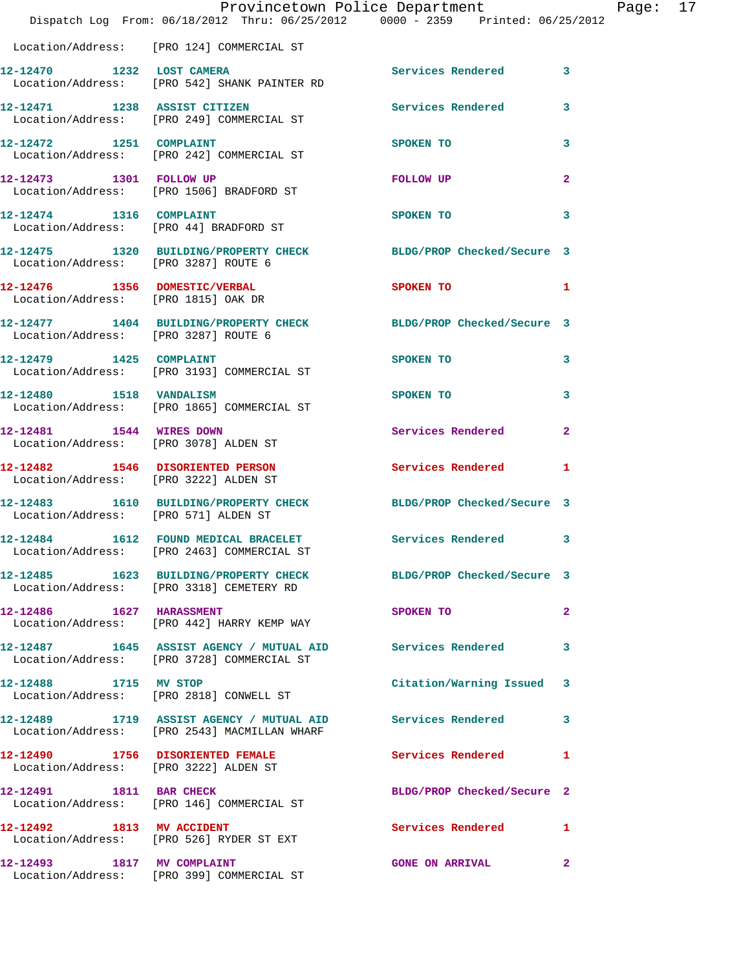|                                                                           | Provincetown Police Department<br>Dispatch Log From: 06/18/2012 Thru: 06/25/2012 0000 - 2359 Printed: 06/25/2012 |                            |                |
|---------------------------------------------------------------------------|------------------------------------------------------------------------------------------------------------------|----------------------------|----------------|
|                                                                           | Location/Address: [PRO 124] COMMERCIAL ST                                                                        |                            |                |
|                                                                           | 12-12470 1232 LOST CAMERA<br>Location/Address: [PRO 542] SHANK PAINTER RD                                        | Services Rendered          | 3              |
|                                                                           | 12-12471 1238 ASSIST CITIZEN<br>Location/Address: [PRO 249] COMMERCIAL ST                                        | <b>Services Rendered</b>   | 3              |
|                                                                           | 12-12472 1251 COMPLAINT<br>Location/Address: [PRO 242] COMMERCIAL ST                                             | <b>SPOKEN TO</b>           | 3              |
| 12-12473 1301 FOLLOW UP                                                   | Location/Address: [PRO 1506] BRADFORD ST                                                                         | FOLLOW UP                  | $\mathbf{2}$   |
| 12-12474 1316 COMPLAINT                                                   | Location/Address: [PRO 44] BRADFORD ST                                                                           | <b>SPOKEN TO</b>           | 3              |
| Location/Address: [PRO 3287] ROUTE 6                                      | 12-12475 1320 BUILDING/PROPERTY CHECK BLDG/PROP Checked/Secure 3                                                 |                            |                |
| 12-12476 1356 DOMESTIC/VERBAL<br>Location/Address: [PRO 1815] OAK DR      |                                                                                                                  | <b>SPOKEN TO</b>           | 1              |
| Location/Address: [PRO 3287] ROUTE 6                                      | 12-12477 1404 BUILDING/PROPERTY CHECK BLDG/PROP Checked/Secure 3                                                 |                            |                |
| 12-12479   1425   COMPLAINT                                               | Location/Address: [PRO 3193] COMMERCIAL ST                                                                       | <b>SPOKEN TO</b>           | 3              |
| 12-12480   1518   VANDALISM                                               | Location/Address: [PRO 1865] COMMERCIAL ST                                                                       | <b>SPOKEN TO</b>           | 3              |
| 12-12481 1544 WIRES DOWN                                                  | Location/Address: [PRO 3078] ALDEN ST                                                                            | <b>Services Rendered</b>   | $\overline{a}$ |
| 12-12482 1546 DISORIENTED PERSON<br>Location/Address: [PRO 3222] ALDEN ST |                                                                                                                  | <b>Services Rendered</b>   | 1              |
| Location/Address: [PRO 571] ALDEN ST                                      | 12-12483 1610 BUILDING/PROPERTY CHECK BLDG/PROP Checked/Secure 3                                                 |                            |                |
| 12-12484                                                                  | 1612 FOUND MEDICAL BRACELET<br>Location/Address: [PRO 2463] COMMERCIAL ST                                        | Services Rendered          | 3              |
|                                                                           | 12-12485 1623 BUILDING/PROPERTY CHECK<br>Location/Address: [PRO 3318] CEMETERY RD                                | BLDG/PROP Checked/Secure 3 |                |
| 12-12486 1627 HARASSMENT                                                  | Location/Address: [PRO 442] HARRY KEMP WAY                                                                       | SPOKEN TO                  | 2              |
|                                                                           | 12-12487 1645 ASSIST AGENCY / MUTUAL AID Services Rendered<br>Location/Address: [PRO 3728] COMMERCIAL ST         |                            | 3              |
| 12-12488 1715 MV STOP                                                     | Location/Address: [PRO 2818] CONWELL ST                                                                          | Citation/Warning Issued    | 3              |
|                                                                           | Location/Address: [PRO 2543] MACMILLAN WHARF                                                                     |                            | 3              |
| Location/Address: [PRO 3222] ALDEN ST                                     | 12-12490 1756 DISORIENTED FEMALE                                                                                 | <b>Services Rendered</b>   | 1              |
| 12-12491 1811 BAR CHECK                                                   | Location/Address: [PRO 146] COMMERCIAL ST                                                                        | BLDG/PROP Checked/Secure 2 |                |
|                                                                           | 12-12492 1813 MV ACCIDENT<br>Location/Address: [PRO 526] RYDER ST EXT                                            | Services Rendered          | 1              |
| 12-12493                                                                  | 1817 MV COMPLAINT<br>Location/Address: [PRO 399] COMMERCIAL ST                                                   | <b>GONE ON ARRIVAL</b>     | $\mathbf{2}$   |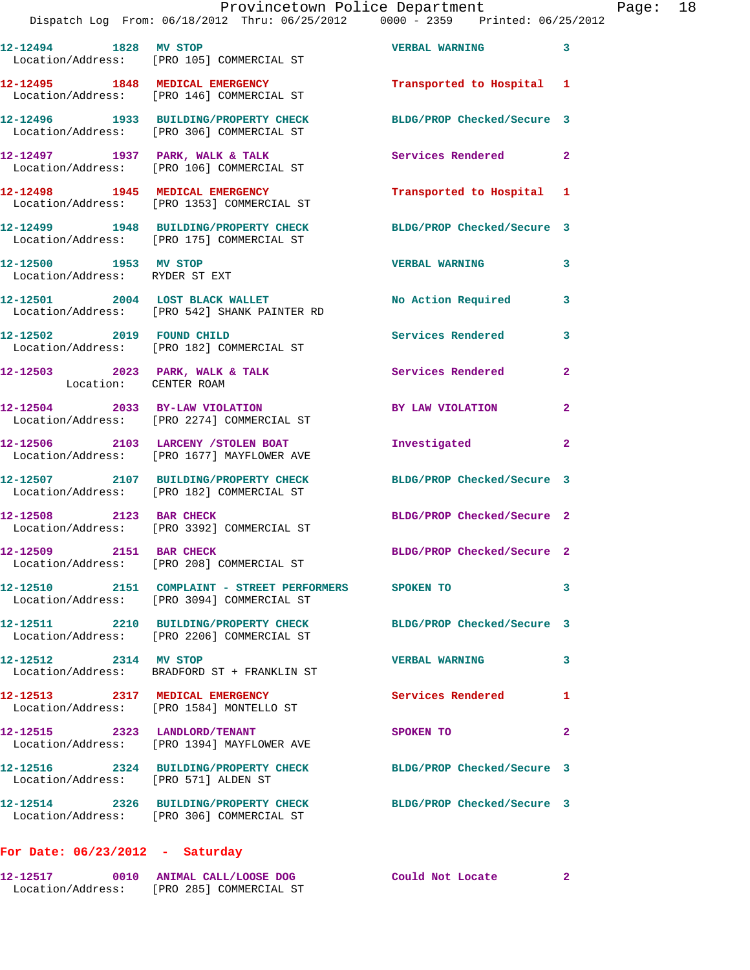|                                                              | 12-12494 1828 MV STOP<br>Location/Address: [PRO 105] COMMERCIAL ST                  | <b>VERBAL WARNING</b>      | $\overline{\phantom{a}}$ 3 |
|--------------------------------------------------------------|-------------------------------------------------------------------------------------|----------------------------|----------------------------|
|                                                              | 12-12495 1848 MEDICAL EMERGENCY<br>Location/Address: [PRO 146] COMMERCIAL ST        | Transported to Hospital 1  |                            |
|                                                              | 12-12496 1933 BUILDING/PROPERTY CHECK<br>Location/Address: [PRO 306] COMMERCIAL ST  | BLDG/PROP Checked/Secure 3 |                            |
|                                                              | $12-12497$ 1937 PARK, WALK & TALK<br>Location/Address: [PRO 106] COMMERCIAL ST      | Services Rendered 2        |                            |
|                                                              | 12-12498 1945 MEDICAL EMERGENCY<br>Location/Address: [PRO 1353] COMMERCIAL ST       | Transported to Hospital 1  |                            |
|                                                              | 12-12499 1948 BUILDING/PROPERTY CHECK<br>Location/Address: [PRO 175] COMMERCIAL ST  | BLDG/PROP Checked/Secure 3 |                            |
| 12-12500 1953 MV STOP<br>Location/Address: RYDER ST EXT      |                                                                                     | <b>VERBAL WARNING</b>      | 3                          |
|                                                              | 12-12501 2004 LOST BLACK WALLET<br>Location/Address: [PRO 542] SHANK PAINTER RD     | <b>No Action Required</b>  | 3                          |
| 12-12502 2019 FOUND CHILD                                    | Location/Address: [PRO 182] COMMERCIAL ST                                           | <b>Services Rendered</b>   | 3                          |
| $12 - 12503$ 2023 PARK, WALK & TALK<br>Location: CENTER ROAM |                                                                                     | <b>Services Rendered</b>   | $\mathbf{2}$               |
|                                                              | 12-12504 2033 BY-LAW VIOLATION<br>Location/Address: [PRO 2274] COMMERCIAL ST        | BY LAW VIOLATION           | $\mathbf{2}$               |
|                                                              | 12-12506 2103 LARCENY / STOLEN BOAT<br>Location/Address: [PRO 1677] MAYFLOWER AVE   | Investigated               | $\mathbf{2}$               |
|                                                              | 12-12507 2107 BUILDING/PROPERTY CHECK<br>Location/Address: [PRO 182] COMMERCIAL ST  | BLDG/PROP Checked/Secure 3 |                            |
| 12-12508 2123 BAR CHECK                                      | Location/Address: [PRO 3392] COMMERCIAL ST                                          | BLDG/PROP Checked/Secure 2 |                            |
| 12-12509 2151 BAR CHECK                                      | Location/Address: [PRO 208] COMMERCIAL ST                                           | BLDG/PROP Checked/Secure 2 |                            |
|                                                              | Location/Address: [PRO 3094] COMMERCIAL ST                                          | SPOKEN TO                  | 3                          |
|                                                              | 12-12511 2210 BUILDING/PROPERTY CHECK<br>Location/Address: [PRO 2206] COMMERCIAL ST | BLDG/PROP Checked/Secure 3 |                            |
| 12-12512 2314 MV STOP                                        | Location/Address: BRADFORD ST + FRANKLIN ST                                         | <b>VERBAL WARNING</b>      | 3                          |
| 12-12513 2317 MEDICAL EMERGENCY                              | Location/Address: [PRO 1584] MONTELLO ST                                            | Services Rendered          | 1                          |
|                                                              | 12-12515 2323 LANDLORD/TENANT<br>Location/Address: [PRO 1394] MAYFLOWER AVE         | SPOKEN TO                  | $\mathbf{2}$               |
| Location/Address: [PRO 571] ALDEN ST                         | 12-12516 2324 BUILDING/PROPERTY CHECK                                               | BLDG/PROP Checked/Secure 3 |                            |
|                                                              | 12-12514 2326 BUILDING/PROPERTY CHECK<br>Location/Address: [PRO 306] COMMERCIAL ST  | BLDG/PROP Checked/Secure 3 |                            |
|                                                              |                                                                                     |                            |                            |

## **For Date: 06/23/2012 - Saturday**

| 12-12517          | 0010 ANIMAL CALL/LOOSE DOG |                         | Could Not Locate |  |
|-------------------|----------------------------|-------------------------|------------------|--|
| Location/Address: |                            | [PRO 285] COMMERCIAL ST |                  |  |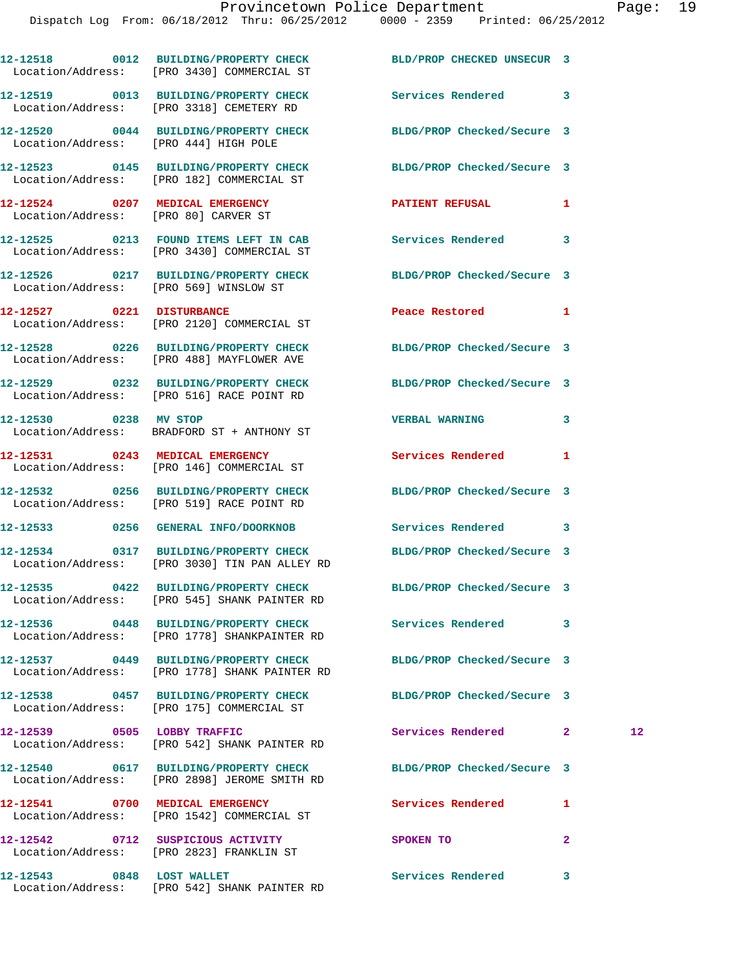|                           | 12-12518 0012 BUILDING/PROPERTY CHECK<br>Location/Address: [PRO 3430] COMMERCIAL ST    | BLD/PROP CHECKED UNSECUR 3                                       |                         |
|---------------------------|----------------------------------------------------------------------------------------|------------------------------------------------------------------|-------------------------|
|                           | 12-12519 0013 BUILDING/PROPERTY CHECK<br>Location/Address: [PRO 3318] CEMETERY RD      | <b>Services Rendered</b> 3                                       |                         |
|                           | 12-12520 0044 BUILDING/PROPERTY CHECK<br>Location/Address: [PRO 444] HIGH POLE         | BLDG/PROP Checked/Secure 3                                       |                         |
|                           | 12-12523 0145 BUILDING/PROPERTY CHECK<br>Location/Address: [PRO 182] COMMERCIAL ST     | BLDG/PROP Checked/Secure 3                                       |                         |
|                           | 12-12524 0207 MEDICAL EMERGENCY<br>Location/Address: [PRO 80] CARVER ST                | <b>PATIENT REFUSAL</b>                                           | 1                       |
|                           | Location/Address: [PRO 3430] COMMERCIAL ST                                             | 12-12525 0213 FOUND ITEMS LEFT IN CAB Services Rendered          | 3                       |
|                           | Location/Address: [PRO 569] WINSLOW ST                                                 | 12-12526 0217 BUILDING/PROPERTY CHECK BLDG/PROP Checked/Secure 3 |                         |
|                           | 12-12527 0221 DISTURBANCE<br>Location/Address: [PRO 2120] COMMERCIAL ST                | Peace Restored and the Peace Restored                            | 1                       |
|                           | Location/Address: [PRO 488] MAYFLOWER AVE                                              | 12-12528 0226 BUILDING/PROPERTY CHECK BLDG/PROP Checked/Secure 3 |                         |
|                           | 12-12529 0232 BUILDING/PROPERTY CHECK<br>Location/Address: [PRO 516] RACE POINT RD     | BLDG/PROP Checked/Secure 3                                       |                         |
| 12-12530 0238 MV STOP     | Location/Address: BRADFORD ST + ANTHONY ST                                             | <b>VERBAL WARNING</b>                                            | 3                       |
|                           | 12-12531 0243 MEDICAL EMERGENCY<br>Location/Address: [PRO 146] COMMERCIAL ST           | <b>Services Rendered</b>                                         | 1                       |
|                           | 12-12532 0256 BUILDING/PROPERTY CHECK<br>Location/Address: [PRO 519] RACE POINT RD     | BLDG/PROP Checked/Secure 3                                       |                         |
|                           | 12-12533 0256 GENERAL INFO/DOORKNOB                                                    | Services Rendered 3                                              |                         |
|                           | 12-12534 0317 BUILDING/PROPERTY CHECK<br>Location/Address: [PRO 3030] TIN PAN ALLEY RD | BLDG/PROP Checked/Secure 3                                       |                         |
|                           | 12-12535 0422 BUILDING/PROPERTY CHECK<br>Location/Address: [PRO 545] SHANK PAINTER RD  | BLDG/PROP Checked/Secure 3                                       |                         |
|                           | 12-12536 0448 BUILDING/PROPERTY CHECK<br>Location/Address: [PRO 1778] SHANKPAINTER RD  | Services Rendered                                                | 3                       |
|                           | 12-12537 0449 BUILDING/PROPERTY CHECK<br>Location/Address: [PRO 1778] SHANK PAINTER RD | BLDG/PROP Checked/Secure 3                                       |                         |
|                           | 12-12538 0457 BUILDING/PROPERTY CHECK<br>Location/Address: [PRO 175] COMMERCIAL ST     | BLDG/PROP Checked/Secure 3                                       |                         |
|                           | 12-12539 0505 LOBBY TRAFFIC<br>Location/Address: [PRO 542] SHANK PAINTER RD            | Services Rendered                                                | $12 \,$<br>$\mathbf{2}$ |
|                           | 12-12540 0617 BUILDING/PROPERTY CHECK<br>Location/Address: [PRO 2898] JEROME SMITH RD  | BLDG/PROP Checked/Secure 3                                       |                         |
|                           | 12-12541 0700 MEDICAL EMERGENCY<br>Location/Address: [PRO 1542] COMMERCIAL ST          | Services Rendered                                                | 1                       |
|                           | 12-12542 0712 SUSPICIOUS ACTIVITY<br>Location/Address: [PRO 2823] FRANKLIN ST          | SPOKEN TO                                                        | $\mathbf{2}$            |
| 12-12543 0848 LOST WALLET |                                                                                        | Services Rendered 3                                              |                         |

Location/Address: [PRO 542] SHANK PAINTER RD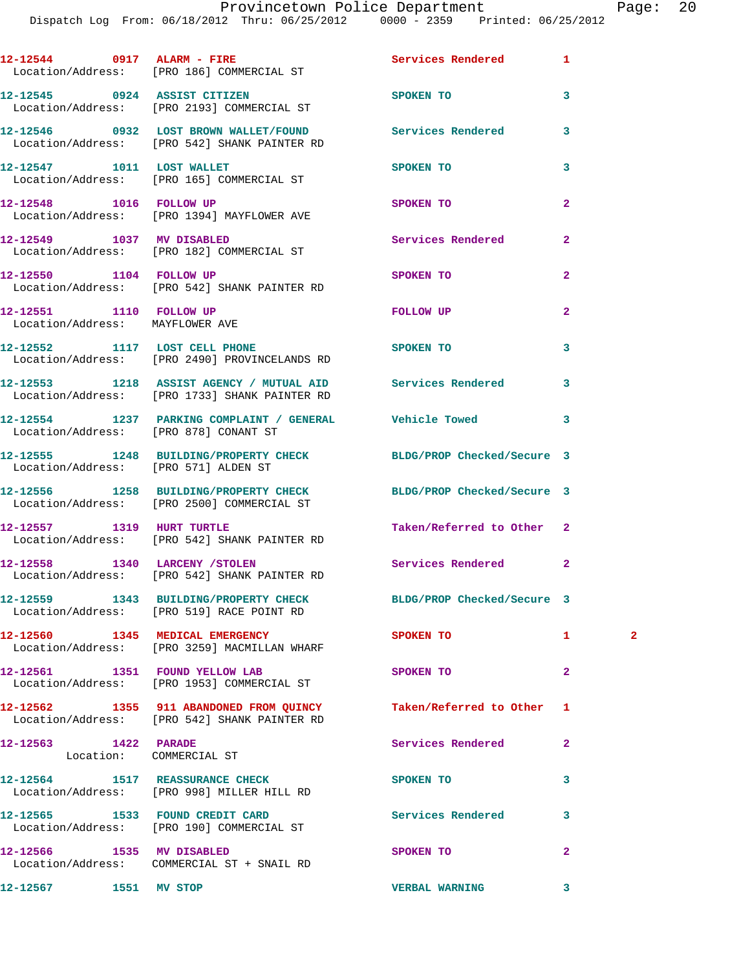|                                                            | 12-12544 0917 ALARM - FIRE<br>Location/Address: [PRO 186] COMMERCIAL ST                                        | Services Rendered         | 1              |              |
|------------------------------------------------------------|----------------------------------------------------------------------------------------------------------------|---------------------------|----------------|--------------|
|                                                            | 12-12545 0924 ASSIST CITIZEN<br>Location/Address: [PRO 2193] COMMERCIAL ST                                     | SPOKEN TO                 | 3              |              |
|                                                            | 12-12546 0932 LOST BROWN WALLET/FOUND Services Rendered<br>Location/Address: [PRO 542] SHANK PAINTER RD        |                           | 3              |              |
|                                                            | 12-12547 1011 LOST WALLET<br>Location/Address: [PRO 165] COMMERCIAL ST                                         | SPOKEN TO                 | 3              |              |
| 12-12548 1016 FOLLOW UP                                    | Location/Address: [PRO 1394] MAYFLOWER AVE                                                                     | SPOKEN TO                 | $\overline{a}$ |              |
|                                                            | 12-12549 1037 MV DISABLED<br>Location/Address: [PRO 182] COMMERCIAL ST                                         | Services Rendered         | $\mathbf{2}$   |              |
| 12-12550 1104 FOLLOW UP                                    | Location/Address: [PRO 542] SHANK PAINTER RD                                                                   | SPOKEN TO                 | $\overline{2}$ |              |
| 12-12551 1110 FOLLOW UP<br>Location/Address: MAYFLOWER AVE |                                                                                                                | FOLLOW UP                 | $\mathbf{2}$   |              |
|                                                            | 12-12552 1117 LOST CELL PHONE<br>Location/Address: [PRO 2490] PROVINCELANDS RD                                 | SPOKEN TO                 | 3              |              |
|                                                            | 12-12553 1218 ASSIST AGENCY / MUTUAL AID Services Rendered<br>Location/Address: [PRO 1733] SHANK PAINTER RD    |                           | 3              |              |
|                                                            | 12-12554 1237 PARKING COMPLAINT / GENERAL Vehicle Towed<br>Location/Address: [PRO 878] CONANT ST               |                           | 3              |              |
|                                                            | 12-12555 1248 BUILDING/PROPERTY CHECK BLDG/PROP Checked/Secure 3<br>Location/Address: [PRO 571] ALDEN ST       |                           |                |              |
|                                                            | 12-12556 1258 BUILDING/PROPERTY CHECK BLDG/PROP Checked/Secure 3<br>Location/Address: [PRO 2500] COMMERCIAL ST |                           |                |              |
| 12-12557 1319 HURT TURTLE                                  | Location/Address: [PRO 542] SHANK PAINTER RD                                                                   | Taken/Referred to Other 2 |                |              |
|                                                            | 12-12558 1340 LARCENY / STOLEN<br>Location/Address: [PRO 542] SHANK PAINTER RD                                 | Services Rendered         | 2              |              |
|                                                            | 12-12559 1343 BUILDING/PROPERTY CHECK BLDG/PROP Checked/Secure 3<br>Location/Address: [PRO 519] RACE POINT RD  |                           |                |              |
|                                                            | 12-12560 1345 MEDICAL EMERGENCY<br>Location/Address: [PRO 3259] MACMILLAN WHARF                                | SPOKEN TO                 | $\mathbf{1}$   | $\mathbf{2}$ |
|                                                            | 12-12561 1351 FOUND YELLOW LAB<br>Location/Address: [PRO 1953] COMMERCIAL ST                                   | SPOKEN TO                 | $\mathbf{2}$   |              |
|                                                            | 12-12562 1355 911 ABANDONED FROM QUINCY<br>Location/Address: [PRO 542] SHANK PAINTER RD                        | Taken/Referred to Other   | 1              |              |
| 12-12563 1422 PARADE                                       | Location: COMMERCIAL ST                                                                                        | Services Rendered         | $\mathbf{2}$   |              |
|                                                            | 12-12564 1517 REASSURANCE CHECK<br>Location/Address: [PRO 998] MILLER HILL RD                                  | SPOKEN TO                 | 3              |              |
|                                                            | 12-12565 1533 FOUND CREDIT CARD<br>Location/Address: [PRO 190] COMMERCIAL ST                                   | <b>Services Rendered</b>  | 3              |              |
|                                                            | 12-12566 1535 MV DISABLED<br>Location/Address: COMMERCIAL ST + SNAIL RD                                        | SPOKEN TO                 | $\mathbf{2}$   |              |
| 12-12567 1551 MV STOP                                      |                                                                                                                | <b>VERBAL WARNING</b>     | 3              |              |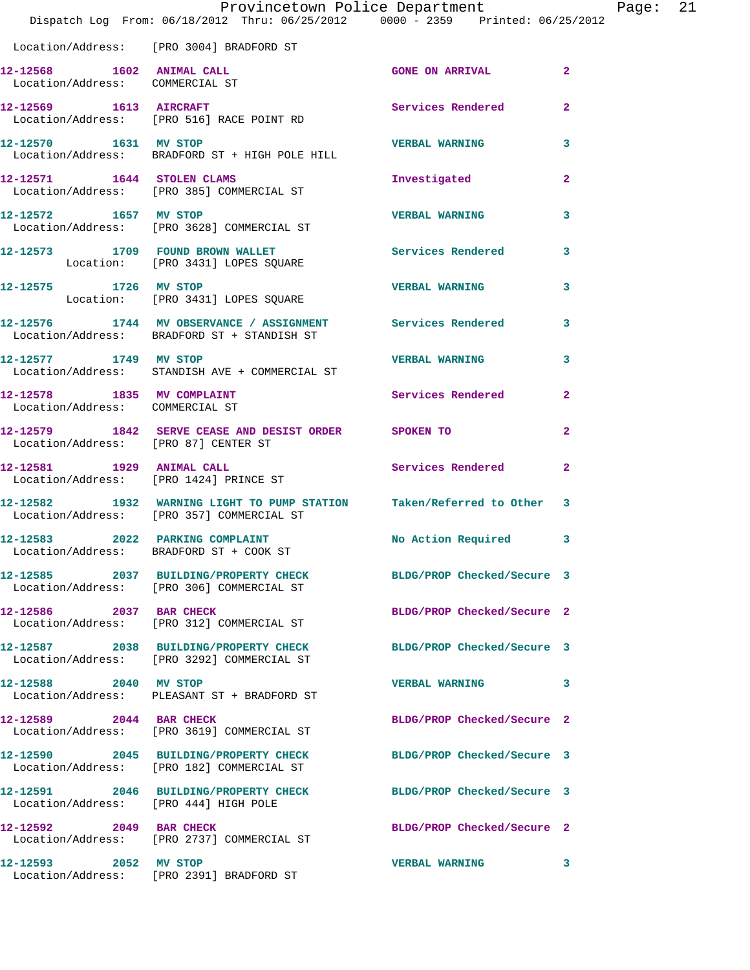|                                                               | Provincetown Police Department<br>Dispatch Log From: 06/18/2012 Thru: 06/25/2012 0000 - 2359 Printed: 06/25/2012 |                            |                |
|---------------------------------------------------------------|------------------------------------------------------------------------------------------------------------------|----------------------------|----------------|
|                                                               | Location/Address: [PRO 3004] BRADFORD ST                                                                         |                            |                |
| 12-12568 1602 ANIMAL CALL<br>Location/Address: COMMERCIAL ST  |                                                                                                                  | <b>GONE ON ARRIVAL</b>     | $\overline{2}$ |
|                                                               | 12-12569    1613    AIRCRAFT<br>Location/Address: [PRO 516] RACE POINT RD                                        | <b>Services Rendered</b>   | $\mathbf{2}$   |
| 12-12570 1631 MV STOP                                         | Location/Address: BRADFORD ST + HIGH POLE HILL                                                                   | <b>VERBAL WARNING</b>      | 3              |
|                                                               | 12-12571 1644 STOLEN CLAMS<br>Location/Address: [PRO 385] COMMERCIAL ST                                          | Investigated               | $\mathbf{2}$   |
| 12-12572 1657 MV STOP                                         | Location/Address: [PRO 3628] COMMERCIAL ST                                                                       | <b>VERBAL WARNING</b>      | 3              |
|                                                               | 12-12573 1709 FOUND BROWN WALLET<br>Location: [PRO 3431] LOPES SQUARE                                            | <b>Services Rendered</b>   | 3              |
| 12-12575 1726 MV STOP                                         | Location: [PRO 3431] LOPES SQUARE                                                                                | <b>VERBAL WARNING</b>      | 3              |
|                                                               | 12-12576 1744 MV OBSERVANCE / ASSIGNMENT Services Rendered<br>Location/Address: BRADFORD ST + STANDISH ST        |                            | 3              |
| 12-12577 1749 MV STOP                                         | Location/Address: STANDISH AVE + COMMERCIAL ST                                                                   | <b>VERBAL WARNING</b>      | 3              |
| 12-12578 1835 MV COMPLAINT<br>Location/Address: COMMERCIAL ST |                                                                                                                  | <b>Services Rendered</b>   | $\mathbf{2}$   |
| Location/Address: [PRO 87] CENTER ST                          | 12-12579 1842 SERVE CEASE AND DESIST ORDER SPOKEN TO                                                             |                            | 2              |
|                                                               | 12-12581 1929 ANIMAL CALL<br>Location/Address: [PRO 1424] PRINCE ST                                              | Services Rendered          | $\mathbf{2}$   |
|                                                               | 12-12582 1932 WARNING LIGHT TO PUMP STATION Taken/Referred to Other<br>Location/Address: [PRO 357] COMMERCIAL ST |                            | 3              |
|                                                               | 12-12583 2022 PARKING COMPLAINT<br>Location/Address: BRADFORD ST + COOK ST                                       | No Action Required         | 3              |
|                                                               | 12-12585 2037 BUILDING/PROPERTY CHECK BLDG/PROP Checked/Secure 3<br>Location/Address: [PRO 306] COMMERCIAL ST    |                            |                |
| 12-12586 2037 BAR CHECK                                       | Location/Address: [PRO 312] COMMERCIAL ST                                                                        | BLDG/PROP Checked/Secure 2 |                |
|                                                               | 12-12587 2038 BUILDING/PROPERTY CHECK<br>Location/Address: [PRO 3292] COMMERCIAL ST                              | BLDG/PROP Checked/Secure 3 |                |
| 12-12588 2040 MV STOP                                         | Location/Address: PLEASANT ST + BRADFORD ST                                                                      | <b>VERBAL WARNING</b>      | 3              |
| 12-12589 2044 BAR CHECK                                       | Location/Address: [PRO 3619] COMMERCIAL ST                                                                       | BLDG/PROP Checked/Secure 2 |                |
|                                                               | 12-12590 2045 BUILDING/PROPERTY CHECK<br>Location/Address: [PRO 182] COMMERCIAL ST                               | BLDG/PROP Checked/Secure 3 |                |
| Location/Address: [PRO 444] HIGH POLE                         | 12-12591 2046 BUILDING/PROPERTY CHECK                                                                            | BLDG/PROP Checked/Secure 3 |                |
| 12-12592 2049 BAR CHECK                                       | Location/Address: [PRO 2737] COMMERCIAL ST                                                                       | BLDG/PROP Checked/Secure 2 |                |
| 12-12593 2052 MV STOP                                         | Location/Address: [PRO 2391] BRADFORD ST                                                                         | <b>VERBAL WARNING</b>      | 3              |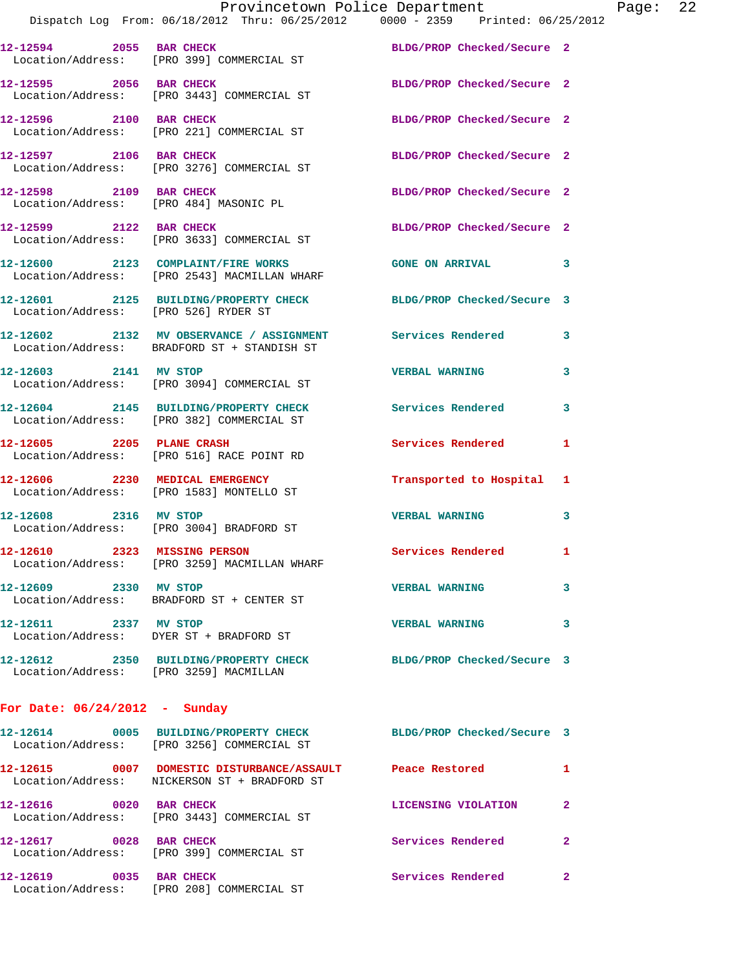|                                        | Provincetown Police Department The Page: 22<br>Dispatch Log From: 06/18/2012 Thru: 06/25/2012   0000 - 2359   Printed: 06/25/2012 |                            |              |
|----------------------------------------|-----------------------------------------------------------------------------------------------------------------------------------|----------------------------|--------------|
|                                        | 12-12594 2055 BAR CHECK<br>Location/Address: [PRO 399] COMMERCIAL ST                                                              | BLDG/PROP Checked/Secure 2 |              |
| 12-12595 2056 BAR CHECK                | Location/Address: [PRO 3443] COMMERCIAL ST                                                                                        | BLDG/PROP Checked/Secure 2 |              |
|                                        | 12-12596 2100 BAR CHECK<br>Location/Address: [PRO 221] COMMERCIAL ST                                                              | BLDG/PROP Checked/Secure 2 |              |
|                                        | 12-12597 2106 BAR CHECK<br>Location/Address: [PRO 3276] COMMERCIAL ST                                                             | BLDG/PROP Checked/Secure 2 |              |
|                                        | 12-12598 2109 BAR CHECK<br>Location/Address: [PRO 484] MASONIC PL                                                                 | BLDG/PROP Checked/Secure 2 |              |
|                                        | 12-12599 2122 BAR CHECK<br>Location/Address: [PRO 3633] COMMERCIAL ST                                                             | BLDG/PROP Checked/Secure 2 |              |
|                                        | 12-12600 2123 COMPLAINT/FIRE WORKS<br>Location/Address: [PRO 2543] MACMILLAN WHARF                                                | GONE ON ARRIVAL 3          |              |
|                                        | 12-12601 2125 BUILDING/PROPERTY CHECK BLDG/PROP Checked/Secure 3<br>Location/Address: [PRO 526] RYDER ST                          |                            |              |
|                                        | 12-12602 2132 MV OBSERVANCE / ASSIGNMENT Services Rendered 3<br>Location/Address: BRADFORD ST + STANDISH ST                       |                            |              |
|                                        | 12-12603 2141 MV STOP<br>Location/Address: [PRO 3094] COMMERCIAL ST                                                               | <b>VERBAL WARNING</b>      | 3            |
|                                        | 12-12604 2145 BUILDING/PROPERTY CHECK Services Rendered 3<br>Location/Address: [PRO 382] COMMERCIAL ST                            |                            |              |
|                                        | 12-12605 2205 PLANE CRASH<br>Location/Address: [PRO 516] RACE POINT RD                                                            | Services Rendered          | 1            |
|                                        | 12-12606 2230 MEDICAL EMERGENCY<br>Location/Address: [PRO 1583] MONTELLO ST                                                       | Transported to Hospital 1  |              |
|                                        | 12-12608 2316 MV STOP<br>Location/Address: [PRO 3004] BRADFORD ST                                                                 | <b>VERBAL WARNING</b>      | $\mathbf{3}$ |
|                                        | 12-12610 2323 MISSING PERSON<br>Location/Address: [PRO 3259] MACMILLAN WHARF                                                      | <b>Services Rendered</b>   |              |
| 12-12609 2330 MV STOP                  | Location/Address: BRADFORD ST + CENTER ST                                                                                         | <b>VERBAL WARNING</b>      | 3            |
| 12-12611 2337 MV STOP                  | Location/Address: DYER ST + BRADFORD ST                                                                                           | <b>VERBAL WARNING</b>      | 3            |
| Location/Address: [PRO 3259] MACMILLAN | 12-12612 2350 BUILDING/PROPERTY CHECK BLDG/PROP Checked/Secure 3                                                                  |                            |              |
| For Date: $06/24/2012 - Sunday$        |                                                                                                                                   |                            |              |
|                                        | 12-12614 0005 BUILDING/PROPERTY CHECK BLDG/PROP Checked/Secure 3<br>Location/Address: [PRO 3256] COMMERCIAL ST                    |                            |              |
|                                        | 12-12615 0007 DOMESTIC DISTURBANCE/ASSAULT Peace Restored 1<br>Location/Address: NICKERSON ST + BRADFORD ST                       |                            |              |
| 12-12616 0020 BAR CHECK                | Location/Address: [PRO 3443] COMMERCIAL ST                                                                                        | LICENSING VIOLATION        | 2            |
| 12-12617<br>0028 BAR CHECK             |                                                                                                                                   | Services Rendered          | $\mathbf{2}$ |

**12-12619 0035 BAR CHECK Services Rendered 2**  Location/Address: [PRO 208] COMMERCIAL ST

Location/Address: [PRO 399] COMMERCIAL ST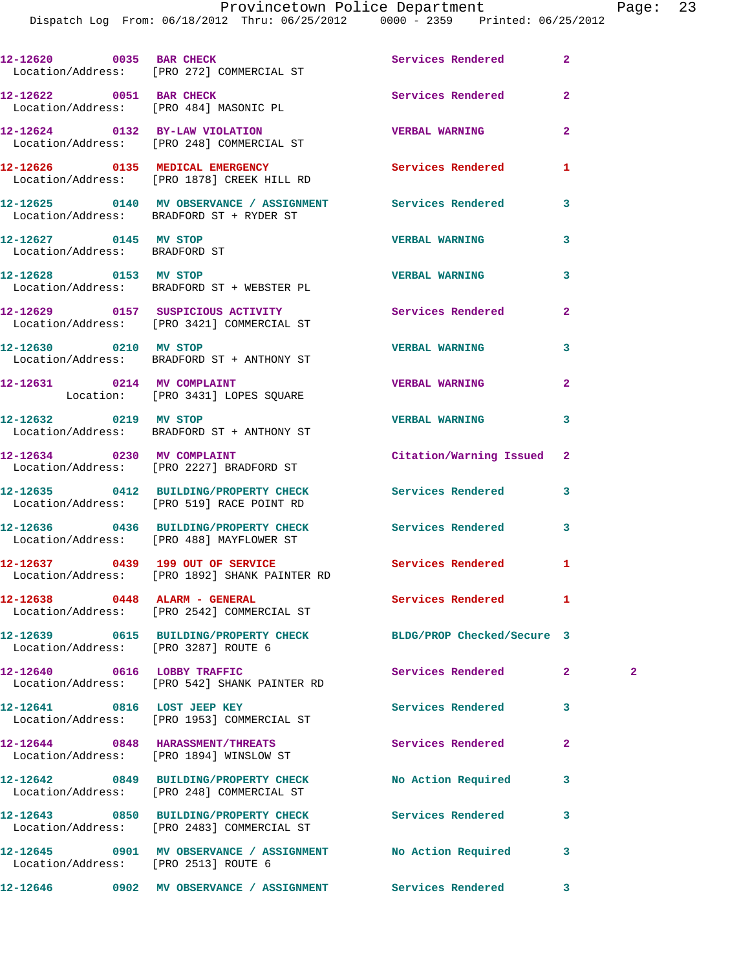Dispatch Log From: 06/18/2012 Thru: 06/25/2012 0000 - 2359 Printed: 06/25/2012

|                                                        | 12-12620 0035 BAR CHECK<br>Location/Address: [PRO 272] COMMERCIAL ST                                   | Services Rendered        | $\overline{a}$ |              |
|--------------------------------------------------------|--------------------------------------------------------------------------------------------------------|--------------------------|----------------|--------------|
| 12-12622 0051 BAR CHECK                                | Location/Address: [PRO 484] MASONIC PL                                                                 | Services Rendered        | $\mathbf{2}$   |              |
|                                                        | 12-12624 0132 BY-LAW VIOLATION<br>Location/Address: [PRO 248] COMMERCIAL ST                            | <b>VERBAL WARNING</b>    | $\overline{a}$ |              |
|                                                        | 12-12626 0135 MEDICAL EMERGENCY<br>Location/Address: [PRO 1878] CREEK HILL RD                          | <b>Services Rendered</b> | 1              |              |
|                                                        | 12-12625 0140 MV OBSERVANCE / ASSIGNMENT Services Rendered<br>Location/Address: BRADFORD ST + RYDER ST |                          | 3              |              |
| 12-12627 0145 MV STOP<br>Location/Address: BRADFORD ST |                                                                                                        | <b>VERBAL WARNING</b>    | 3              |              |
|                                                        | 12-12628 0153 MV STOP<br>Location/Address: BRADFORD ST + WEBSTER PL                                    | <b>VERBAL WARNING</b>    | 3              |              |
|                                                        | 12-12629 0157 SUSPICIOUS ACTIVITY<br>Location/Address: [PRO 3421] COMMERCIAL ST                        | Services Rendered        | $\overline{a}$ |              |
|                                                        | 12-12630 0210 MV STOP<br>Location/Address: BRADFORD ST + ANTHONY ST                                    | <b>VERBAL WARNING</b>    | 3              |              |
| 12-12631 0214 MV COMPLAINT                             | Location: [PRO 3431] LOPES SQUARE                                                                      | <b>VERBAL WARNING</b>    | $\mathbf{2}$   |              |
|                                                        | 12-12632 0219 MV STOP<br>Location/Address: BRADFORD ST + ANTHONY ST                                    | <b>VERBAL WARNING</b>    | 3              |              |
|                                                        | 12-12634 0230 MV COMPLAINT<br>Location/Address: [PRO 2227] BRADFORD ST                                 | Citation/Warning Issued  | $\mathbf{2}$   |              |
|                                                        | 12-12635 0412 BUILDING/PROPERTY CHECK<br>Location/Address: [PRO 519] RACE POINT RD                     | Services Rendered        | 3              |              |
|                                                        | 12-12636 0436 BUILDING/PROPERTY CHECK<br>Location/Address: [PRO 488] MAYFLOWER ST                      | Services Rendered        | 3              |              |
|                                                        | 12-12637 0439 199 OUT OF SERVICE<br>Location/Address: [PRO 1892] SHANK PAINTER RD                      | <b>Services Rendered</b> | 1              |              |
|                                                        | 12-12638 0448 ALARM - GENERAL<br>Location/Address: [PRO 2542] COMMERCIAL ST                            | Services Rendered        | 1              |              |
| Location/Address: [PRO 3287] ROUTE 6                   | 12-12639 0615 BUILDING/PROPERTY CHECK BLDG/PROP Checked/Secure 3                                       |                          |                |              |
| 12-12640 0616 LOBBY TRAFFIC                            | Location/Address: [PRO 542] SHANK PAINTER RD                                                           | <b>Services Rendered</b> | $\mathbf{2}$   | $\mathbf{2}$ |
| 12-12641 0816 LOST JEEP KEY                            | Location/Address: [PRO 1953] COMMERCIAL ST                                                             | <b>Services Rendered</b> | 3              |              |
|                                                        | 12-12644 0848 HARASSMENT/THREATS<br>Location/Address: [PRO 1894] WINSLOW ST                            | Services Rendered        | $\mathbf{2}$   |              |
|                                                        | 12-12642 0849 BUILDING/PROPERTY CHECK<br>Location/Address: [PRO 248] COMMERCIAL ST                     | No Action Required       | 3              |              |
|                                                        | 12-12643 0850 BUILDING/PROPERTY CHECK<br>Location/Address: [PRO 2483] COMMERCIAL ST                    | Services Rendered        | 3              |              |
| Location/Address: [PRO 2513] ROUTE 6                   |                                                                                                        |                          | 3              |              |
|                                                        |                                                                                                        |                          | 3              |              |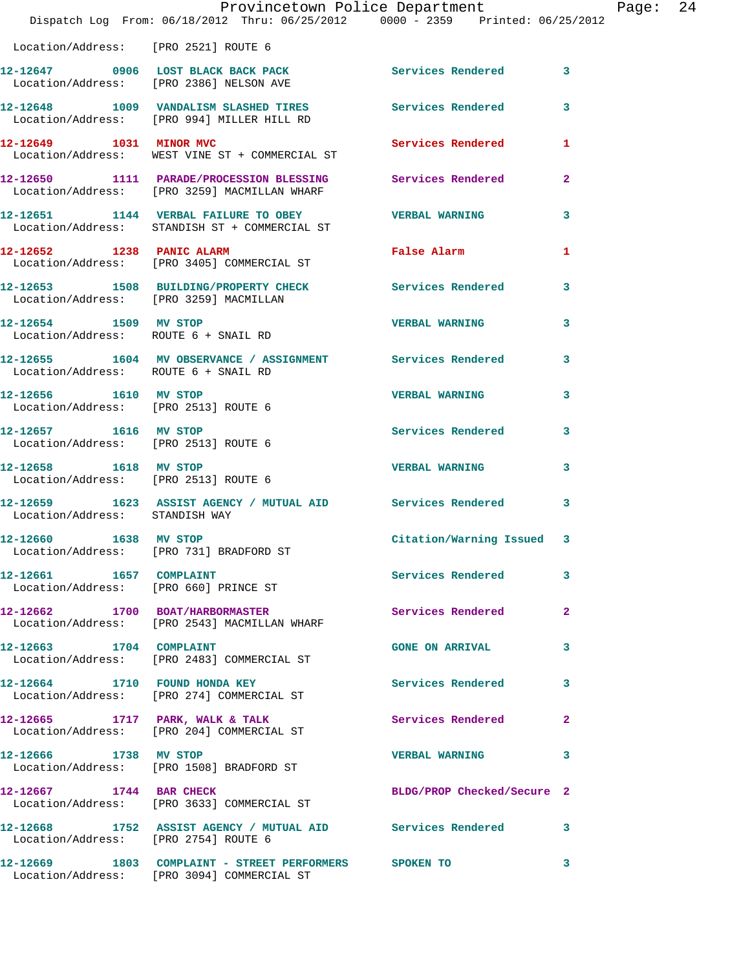|                                                               | Provincetown Police Department The Mage: 24                                                                  |                            |              |  |
|---------------------------------------------------------------|--------------------------------------------------------------------------------------------------------------|----------------------------|--------------|--|
|                                                               | Dispatch Log From: 06/18/2012 Thru: 06/25/2012 0000 - 2359 Printed: 06/25/2012                               |                            |              |  |
| Location/Address: [PRO 2521] ROUTE 6                          |                                                                                                              |                            |              |  |
|                                                               | 12-12647 0906 LOST BLACK BACK PACK 2001 Services Rendered 3<br>Location/Address: [PRO 2386] NELSON AVE       |                            |              |  |
|                                                               | 12-12648 1009 VANDALISM SLASHED TIRES Services Rendered 3<br>Location/Address: [PRO 994] MILLER HILL RD      |                            |              |  |
|                                                               | 12-12649    1031    MINOR MVC<br>Location/Address: WEST VINE ST + COMMERCIAL ST                              | <b>Services Rendered</b>   | 1            |  |
|                                                               | 12-12650 1111 PARADE/PROCESSION BLESSING Services Rendered 2<br>Location/Address: [PRO 3259] MACMILLAN WHARF |                            |              |  |
|                                                               | 12-12651 1144 VERBAL FAILURE TO OBEY VERBAL WARNING<br>Location/Address: STANDISH ST + COMMERCIAL ST         |                            | 3            |  |
| 12-12652 1238 PANIC ALARM                                     | Location/Address: [PRO 3405] COMMERCIAL ST                                                                   | False Alarm                | 1            |  |
|                                                               | 12-12653 1508 BUILDING/PROPERTY CHECK Services Rendered 3<br>Location/Address: [PRO 3259] MACMILLAN          |                            |              |  |
|                                                               | 12-12654 1509 MV STOP<br>Location/Address: ROUTE 6 + SNAIL RD                                                | <b>VERBAL WARNING</b>      | 3            |  |
| Location/Address: ROUTE 6 + SNAIL RD                          | 12-12655 1604 MV OBSERVANCE / ASSIGNMENT Services Rendered 3                                                 |                            |              |  |
| 12-12656 1610 MV STOP<br>Location/Address: [PRO 2513] ROUTE 6 |                                                                                                              | <b>VERBAL WARNING</b>      | 3            |  |
| 12-12657 1616 MV STOP<br>Location/Address: [PRO 2513] ROUTE 6 |                                                                                                              | Services Rendered 3        |              |  |
|                                                               | 12-12658 1618 MV STOP<br>Location/Address: [PRO 2513] ROUTE 6                                                | <b>VERBAL WARNING</b>      | 3            |  |
| Location/Address: STANDISH WAY                                | 12-12659 1623 ASSIST AGENCY / MUTUAL AID Services Rendered 3                                                 |                            |              |  |
| 12-12660 1638 MV STOP                                         | Location/Address: [PRO 731] BRADFORD ST                                                                      | Citation/Warning Issued 3  |              |  |
| 12-12661 1657 COMPLAINT                                       | Location/Address: [PRO 660] PRINCE ST                                                                        | Services Rendered          | 3            |  |
|                                                               | 12-12662 1700 BOAT/HARBORMASTER<br>Location/Address: [PRO 2543] MACMILLAN WHARF                              | Services Rendered          | 2            |  |
| 12-12663 1704 COMPLAINT                                       | Location/Address: [PRO 2483] COMMERCIAL ST                                                                   | <b>GONE ON ARRIVAL</b>     | 3            |  |
|                                                               | 12-12664 1710 FOUND HONDA KEY<br>Location/Address: [PRO 274] COMMERCIAL ST                                   | Services Rendered          | 3            |  |
|                                                               | $12-12665$ 1717 PARK, WALK & TALK<br>Location/Address: [PRO 204] COMMERCIAL ST                               | Services Rendered          | $\mathbf{2}$ |  |
| 12-12666 1738 MV STOP                                         | Location/Address: [PRO 1508] BRADFORD ST                                                                     | <b>VERBAL WARNING</b>      | 3            |  |
| 12-12667 1744 BAR CHECK                                       | Location/Address: [PRO 3633] COMMERCIAL ST                                                                   | BLDG/PROP Checked/Secure 2 |              |  |
| Location/Address: [PRO 2754] ROUTE 6                          | 12-12668 1752 ASSIST AGENCY / MUTUAL AID Services Rendered 3                                                 |                            |              |  |
|                                                               | 12-12669 1803 COMPLAINT - STREET PERFORMERS SPOKEN TO<br>Location/Address: [PRO 3094] COMMERCIAL ST          |                            | $\mathbf{3}$ |  |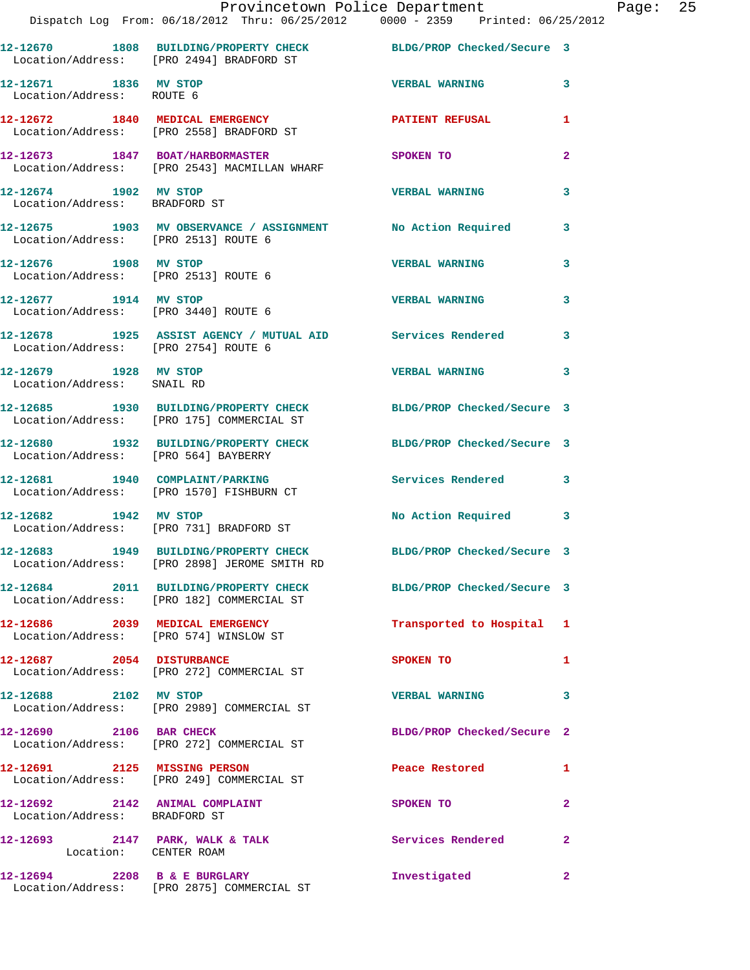|                                                                 | Provincetown Police Department<br>Dispatch Log From: 06/18/2012 Thru: 06/25/2012 0000 - 2359 Printed: 06/25/2012 |                            |                |
|-----------------------------------------------------------------|------------------------------------------------------------------------------------------------------------------|----------------------------|----------------|
|                                                                 | 12-12670 1808 BUILDING/PROPERTY CHECK BLDG/PROP Checked/Secure 3<br>Location/Address: [PRO 2494] BRADFORD ST     |                            |                |
| 12-12671 1836 MV STOP<br>Location/Address: ROUTE 6              |                                                                                                                  | <b>VERBAL WARNING</b>      | 3              |
|                                                                 | 12-12672 1840 MEDICAL EMERGENCY<br>Location/Address: [PRO 2558] BRADFORD ST                                      | PATIENT REFUSAL            | 1              |
|                                                                 | 12-12673 1847 BOAT/HARBORMASTER<br>Location/Address: [PRO 2543] MACMILLAN WHARF                                  | SPOKEN TO                  | $\mathbf{2}$   |
| 12-12674 1902 MV STOP<br>Location/Address: BRADFORD ST          |                                                                                                                  | <b>VERBAL WARNING</b>      | 3              |
| Location/Address: [PRO 2513] ROUTE 6                            | 12-12675 1903 MV OBSERVANCE / ASSIGNMENT No Action Required                                                      |                            | 3              |
| 12-12676 1908 MV STOP                                           | Location/Address: [PRO 2513] ROUTE 6                                                                             | <b>VERBAL WARNING</b>      | 3              |
| Location/Address: [PRO 3440] ROUTE 6                            | 12-12677 1914 MV STOP                                                                                            | <b>VERBAL WARNING</b>      | 3              |
| Location/Address: [PRO 2754] ROUTE 6                            | 12-12678 1925 ASSIST AGENCY / MUTUAL AID Services Rendered                                                       |                            | 3              |
| 12-12679 1928 MV STOP<br>Location/Address: SNAIL RD             |                                                                                                                  | <b>VERBAL WARNING</b>      | 3              |
|                                                                 | 12-12685 1930 BUILDING/PROPERTY CHECK BLDG/PROP Checked/Secure 3<br>Location/Address: [PRO 175] COMMERCIAL ST    |                            |                |
| Location/Address: [PRO 564] BAYBERRY                            | 12-12680 1932 BUILDING/PROPERTY CHECK BLDG/PROP Checked/Secure 3                                                 |                            |                |
|                                                                 | 12-12681 1940 COMPLAINT/PARKING<br>Location/Address: [PRO 1570] FISHBURN CT                                      | Services Rendered          | 3              |
|                                                                 | 12-12682 1942 MV STOP<br>Location/Address: [PRO 731] BRADFORD ST                                                 | No Action Required 3       |                |
|                                                                 | 12-12683 1949 BUILDING/PROPERTY CHECK<br>Location/Address: [PRO 2898] JEROME SMITH RD                            | BLDG/PROP Checked/Secure 3 |                |
|                                                                 | 12-12684 2011 BUILDING/PROPERTY CHECK BLDG/PROP Checked/Secure 3<br>Location/Address: [PRO 182] COMMERCIAL ST    |                            |                |
| 12-12686 2039 MEDICAL EMERGENCY                                 | Location/Address: [PRO 574] WINSLOW ST                                                                           | Transported to Hospital 1  |                |
|                                                                 | 12-12687 2054 DISTURBANCE<br>Location/Address: [PRO 272] COMMERCIAL ST                                           | SPOKEN TO                  | 1              |
| 12-12688 2102 MV STOP                                           | Location/Address: [PRO 2989] COMMERCIAL ST                                                                       | <b>VERBAL WARNING</b>      | 3              |
| 12-12690 2106 BAR CHECK                                         | Location/Address: [PRO 272] COMMERCIAL ST                                                                        | BLDG/PROP Checked/Secure 2 |                |
| 12-12691 2125 MISSING PERSON                                    | Location/Address: [PRO 249] COMMERCIAL ST                                                                        | Peace Restored and the sea | 1              |
| 12-12692 2142 ANIMAL COMPLAINT<br>Location/Address: BRADFORD ST |                                                                                                                  | SPOKEN TO                  | $\mathbf{2}$   |
| Location: CENTER ROAM                                           | $12-12693$ 2147 PARK, WALK & TALK                                                                                | Services Rendered          | $\mathbf{2}$   |
| 12-12694 2208 B & E BURGLARY                                    |                                                                                                                  | Investigated               | $\overline{2}$ |

Location/Address: [PRO 2875] COMMERCIAL ST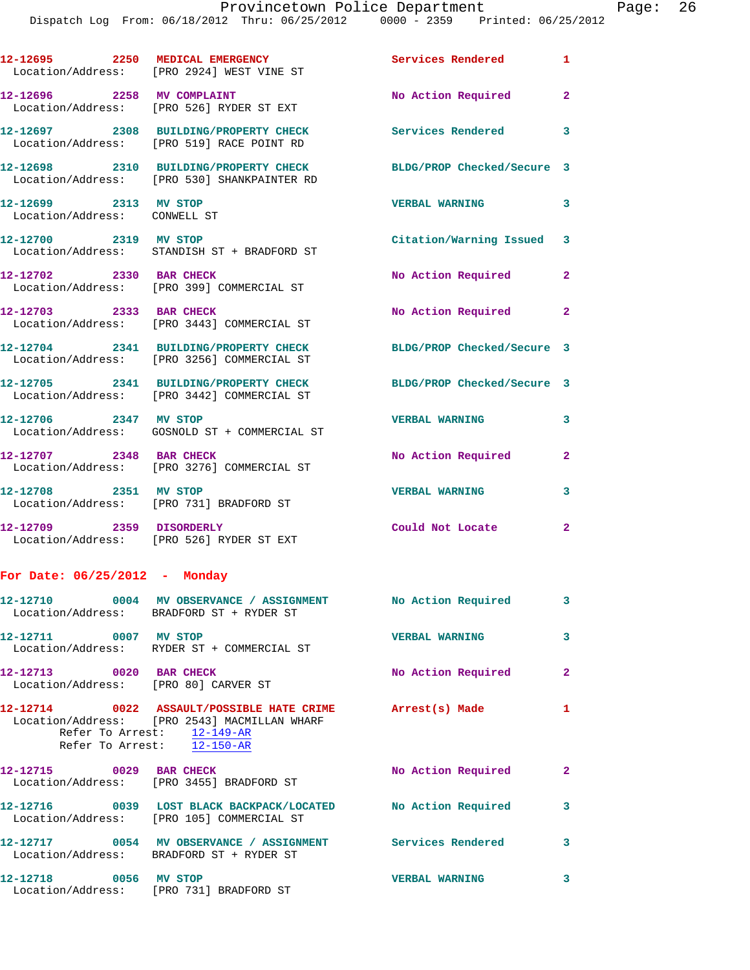Dispatch Log From: 06/18/2012 Thru: 06/25/2012 0000 - 2359 Printed: 06/25/2012

|                                                       | DISPACCII DOGA FIOM. 00/10/2012 THIR. 00/20/2012                                     | <b>boot</b>                |                |
|-------------------------------------------------------|--------------------------------------------------------------------------------------|----------------------------|----------------|
|                                                       | 12-12695 2250 MEDICAL EMERGENCY<br>Location/Address: [PRO 2924] WEST VINE ST         | Services Rendered 1        |                |
|                                                       | 12-12696 2258 MV COMPLAINT<br>Location/Address: [PRO 526] RYDER ST EXT               | No Action Required         | $\overline{2}$ |
|                                                       | 12-12697 2308 BUILDING/PROPERTY CHECK<br>Location/Address: [PRO 519] RACE POINT RD   | Services Rendered 3        |                |
|                                                       | 12-12698 2310 BUILDING/PROPERTY CHECK<br>Location/Address: [PRO 530] SHANKPAINTER RD | BLDG/PROP Checked/Secure 3 |                |
| 12-12699 2313 MV STOP<br>Location/Address: CONWELL ST |                                                                                      | <b>VERBAL WARNING</b>      | 3              |
| 12-12700 2319 MV STOP                                 | Location/Address: STANDISH ST + BRADFORD ST                                          | Citation/Warning Issued 3  |                |
| 12-12702 2330 BAR CHECK                               | Location/Address: [PRO 399] COMMERCIAL ST                                            | No Action Required         | $\mathbf{2}$   |
| 12-12703 2333 BAR CHECK                               | Location/Address: [PRO 3443] COMMERCIAL ST                                           | No Action Required 2       |                |
|                                                       | 12-12704 2341 BUILDING/PROPERTY CHECK<br>Location/Address: [PRO 3256] COMMERCIAL ST  | BLDG/PROP Checked/Secure 3 |                |
|                                                       | 12-12705 2341 BUILDING/PROPERTY CHECK<br>Location/Address: [PRO 3442] COMMERCIAL ST  | BLDG/PROP Checked/Secure 3 |                |
| 12-12706 2347 MV STOP                                 | Location/Address: GOSNOLD ST + COMMERCIAL ST                                         | <b>VERBAL WARNING</b>      | 3              |
| 12-12707 2348 BAR CHECK                               | Location/Address: [PRO 3276] COMMERCIAL ST                                           | No Action Required         | $\overline{2}$ |
| 12-12708 2351 MV STOP                                 | Location/Address: [PRO 731] BRADFORD ST                                              | <b>VERBAL WARNING</b>      | 3              |
| 12-12709 2359 DISORDERLY                              | Location/Address: [PRO 526] RYDER ST EXT                                             | Could Not Locate           | $\mathbf{2}$   |

## **For Date: 06/25/2012 - Monday**

|                                                                 | 12-12710              0004     MV OBSERVANCE / ASSIGNMENT             No Action Required<br>Location/Address: BRADFORD ST + RYDER ST                                 |                       | $\overline{3}$          |
|-----------------------------------------------------------------|----------------------------------------------------------------------------------------------------------------------------------------------------------------------|-----------------------|-------------------------|
| 12-12711 0007 MV STOP                                           | Location/Address: RYDER ST + COMMERCIAL ST                                                                                                                           | <b>VERBAL WARNING</b> | $\overline{\mathbf{3}}$ |
| 12-12713 0020 BAR CHECK<br>Location/Address: [PRO 80] CARVER ST |                                                                                                                                                                      | No Action Required    | $\mathbf{2}$            |
|                                                                 | 12-12714 0022 ASSAULT/POSSIBLE HATE CRIME Arrest(s) Made<br>Location/Address: [PRO 2543] MACMILLAN WHARF<br>Refer To Arrest: 12-149-AR<br>Refer To Arrest: 12-150-AR |                       | $\mathbf{1}$            |
| 12-12715 0029 BAR CHECK                                         | Location/Address: [PRO 3455] BRADFORD ST                                                                                                                             | No Action Required    | $\mathbf{2}$            |
|                                                                 | 12-12716 0039 LOST BLACK BACKPACK/LOCATED No Action Required<br>Location/Address: [PRO 105] COMMERCIAL ST                                                            |                       | $\mathbf{3}$            |
|                                                                 | Location/Address: BRADFORD ST + RYDER ST                                                                                                                             |                       | $\mathbf{3}$            |
| 12-12718 0056 MV STOP                                           | Location/Address: [PRO 731] BRADFORD ST                                                                                                                              | <b>VERBAL WARNING</b> | 3                       |